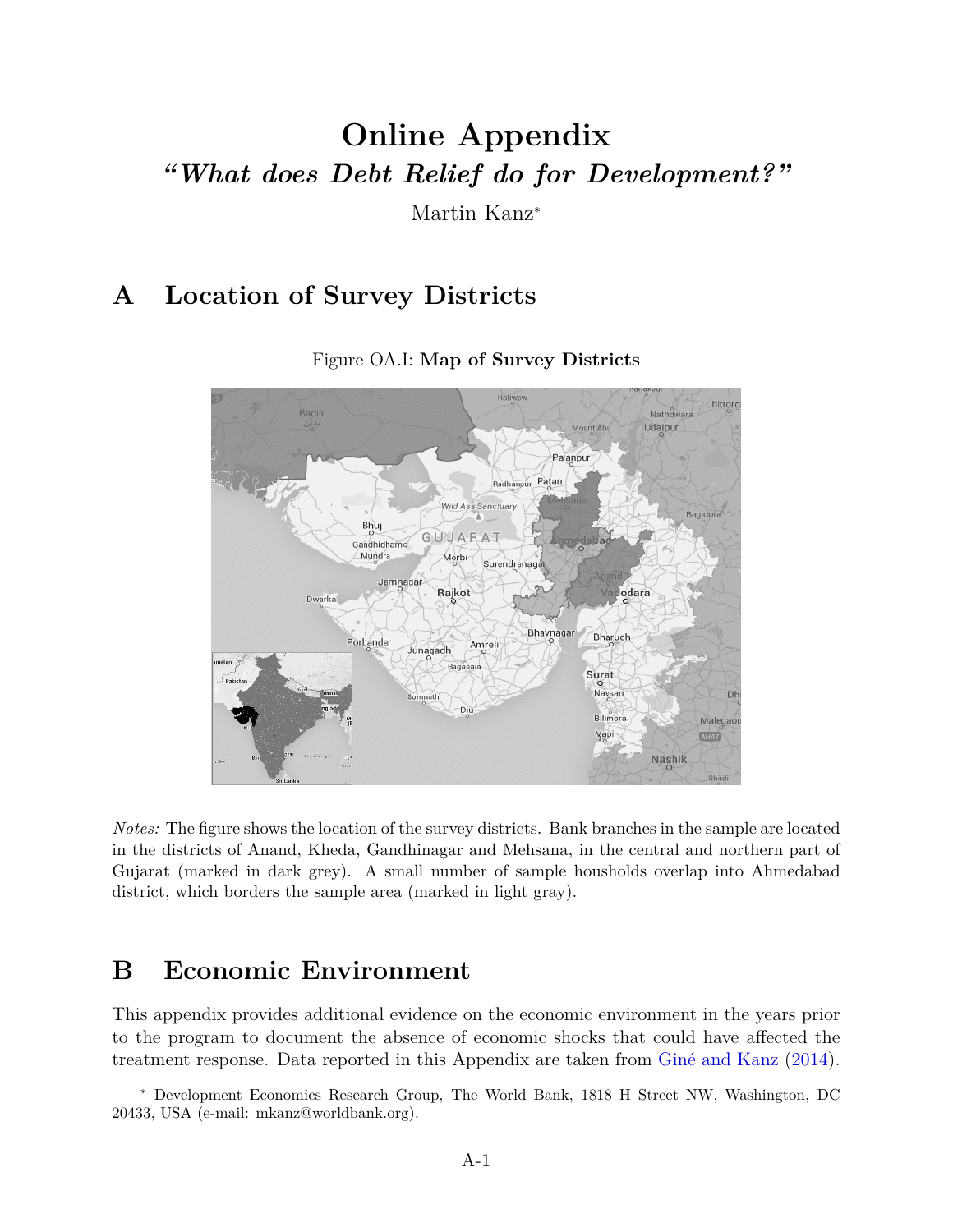# **Online Appendix** *"What does Debt Relief do for Development?"*

Martin Kanz<sup>∗</sup>

## **A Location of Survey Districts**



Figure OA.I: **Map of Survey Districts**

*Notes:* The figure shows the location of the survey districts. Bank branches in the sample are located in the districts of Anand, Kheda, Gandhinagar and Mehsana, in the central and northern part of Gujarat (marked in dark grey). A small number of sample housholds overlap into Ahmedabad district, which borders the sample area (marked in light gray).

## **B Economic Environment**

This appendix provides additional evidence on the economic environment in the years prior to the program to document the absence of economic shocks that could have affected the treatment response. Data reported in this Appendix are taken from Giné and Kanz (2014).

<sup>∗</sup> Development Economics Research Group, The World Bank, 1818 H Street NW, Washington, DC 20433, USA (e-mail: mkanz@worldbank.org).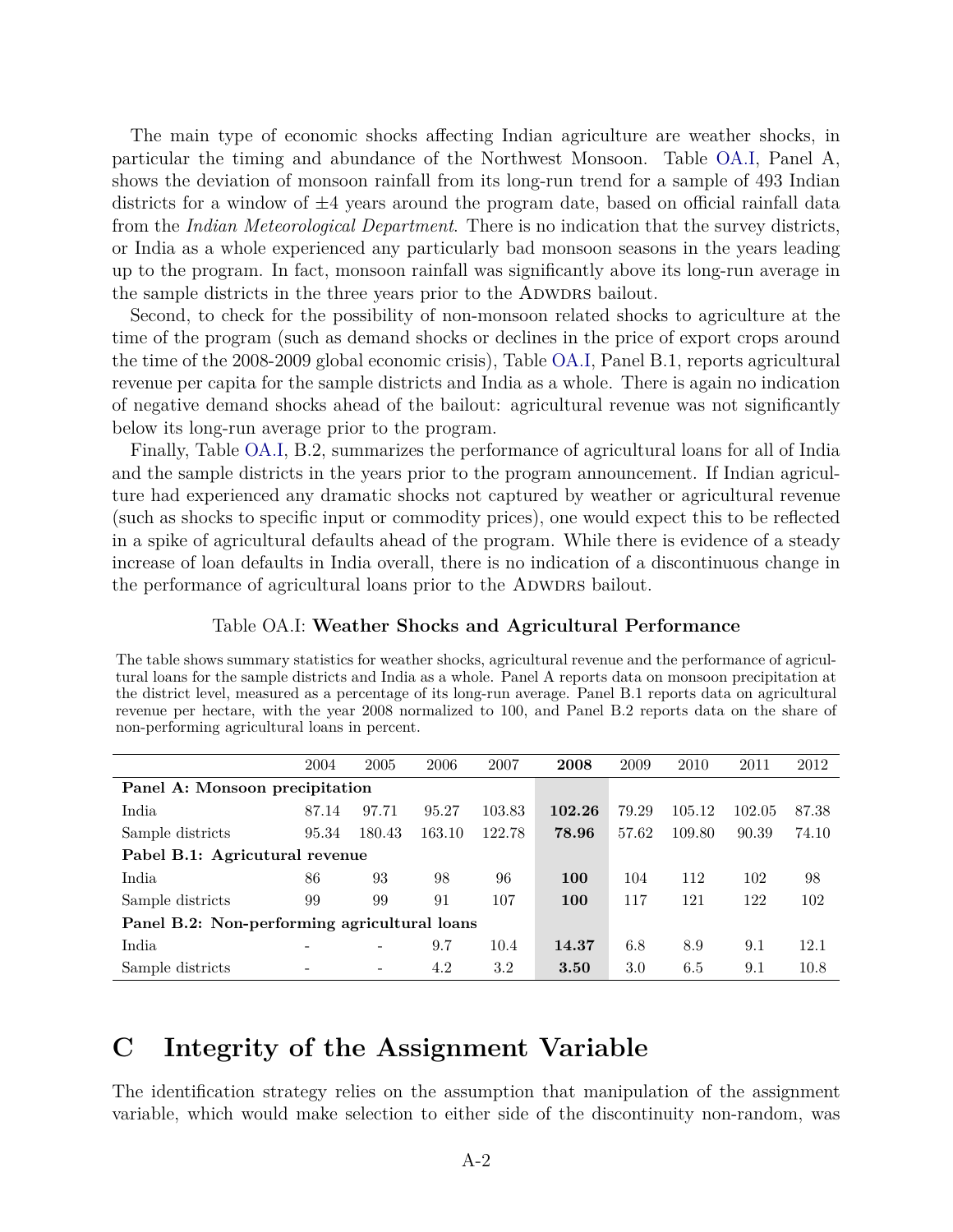The main type of economic shocks affecting Indian agriculture are weather shocks, in particular the timing and abundance of the Northwest Monsoon. Table OA.I, Panel A, shows the deviation of monsoon rainfall from its long-run trend for a sample of 493 Indian districts for a window of  $\pm 4$  years around the program date, based on official rainfall data from the *Indian Meteorological Department*. There is no indication that the survey districts, or India as a whole experienced any particularly bad monsoon seasons in the years leading up to the program. In fact, monsoon rainfall was significantly above its long-run average in the sample districts in the three years prior to the ADWDRS bailout.

Second, to check for the possibility of non-monsoon related shocks to agriculture at the time of the program (such as demand shocks or declines in the price of export crops around the time of the 2008-2009 global economic crisis), Table OA.I, Panel B.1, reports agricultural revenue per capita for the sample districts and India as a whole. There is again no indication of negative demand shocks ahead of the bailout: agricultural revenue was not significantly below its long-run average prior to the program.

Finally, Table OA.I, B.2, summarizes the performance of agricultural loans for all of India and the sample districts in the years prior to the program announcement. If Indian agriculture had experienced any dramatic shocks not captured by weather or agricultural revenue (such as shocks to specific input or commodity prices), one would expect this to be reflected in a spike of agricultural defaults ahead of the program. While there is evidence of a steady increase of loan defaults in India overall, there is no indication of a discontinuous change in the performance of agricultural loans prior to the ADWDRS bailout.

#### Table OA.I: **Weather Shocks and Agricultural Performance**

The table shows summary statistics for weather shocks, agricultural revenue and the performance of agricultural loans for the sample districts and India as a whole. Panel A reports data on monsoon precipitation at the district level, measured as a percentage of its long-run average. Panel B.1 reports data on agricultural revenue per hectare, with the year 2008 normalized to 100, and Panel B.2 reports data on the share of non-performing agricultural loans in percent.

|                                              | 2004  | 2005                     | 2006   | 2007    | 2008   | 2009  | 2010   | 2011   | 2012  |
|----------------------------------------------|-------|--------------------------|--------|---------|--------|-------|--------|--------|-------|
| Panel A: Monsoon precipitation               |       |                          |        |         |        |       |        |        |       |
| India                                        | 87.14 | 97.71                    | 95.27  | 103.83  | 102.26 | 79.29 | 105.12 | 102.05 | 87.38 |
| Sample districts                             | 95.34 | 180.43                   | 163.10 | 122.78  | 78.96  | 57.62 | 109.80 | 90.39  | 74.10 |
| Pabel B.1: Agricutural revenue               |       |                          |        |         |        |       |        |        |       |
| India                                        | 86    | 93                       | 98     | 96      | 100    | 104   | 112    | 102    | 98    |
| Sample districts                             | 99    | 99                       | 91     | 107     | 100    | 117   | 121    | 122    | 102   |
| Panel B.2: Non-performing agricultural loans |       |                          |        |         |        |       |        |        |       |
| India                                        |       | ۰                        | 9.7    | 10.4    | 14.37  | 6.8   | 8.9    | 9.1    | 12.1  |
| Sample districts                             |       | $\overline{\phantom{0}}$ | 4.2    | $3.2\,$ | 3.50   | 3.0   | 6.5    | 9.1    | 10.8  |

## **C Integrity of the Assignment Variable**

The identification strategy relies on the assumption that manipulation of the assignment variable, which would make selection to either side of the discontinuity non-random, was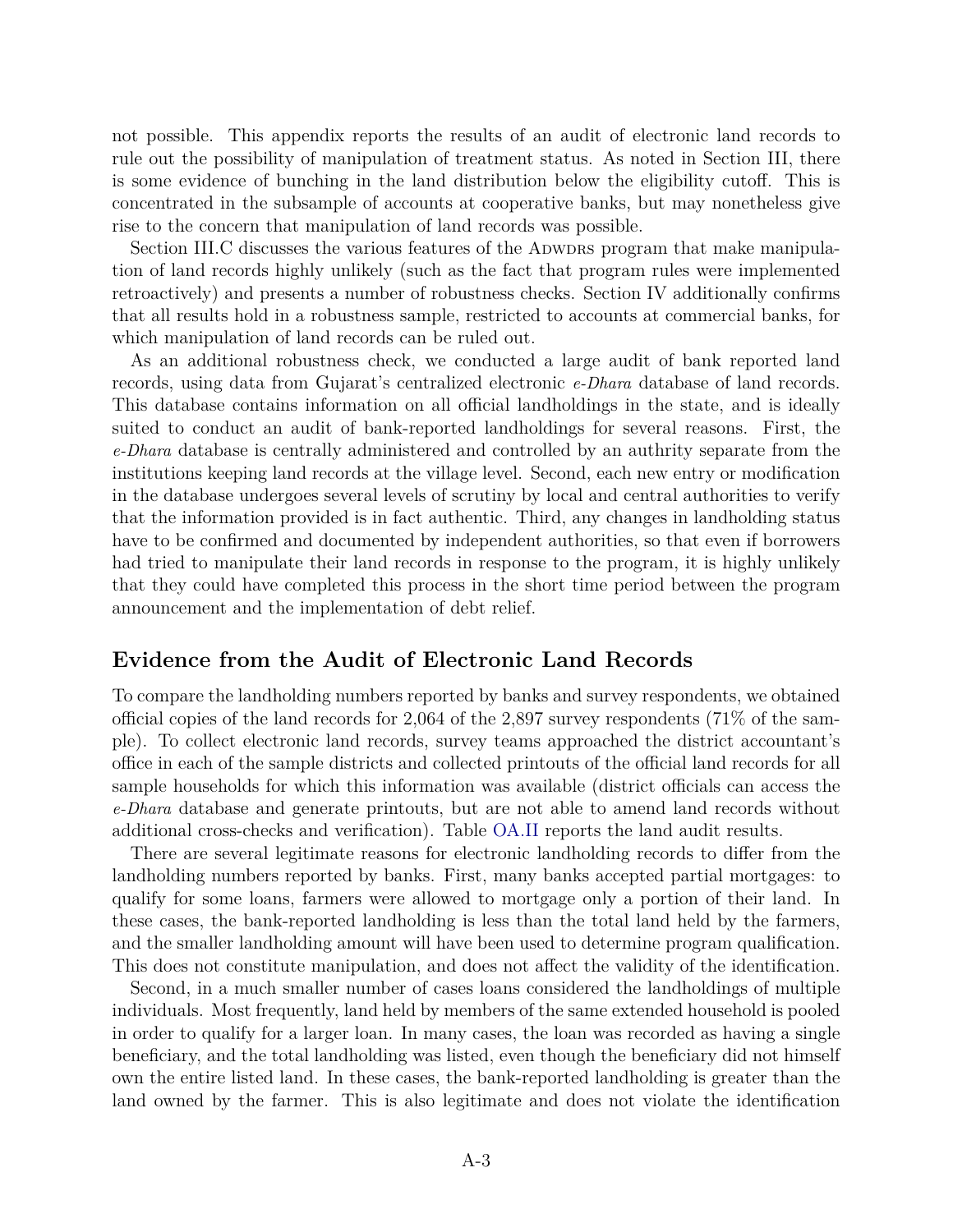not possible. This appendix reports the results of an audit of electronic land records to rule out the possibility of manipulation of treatment status. As noted in Section III, there is some evidence of bunching in the land distribution below the eligibility cutoff. This is concentrated in the subsample of accounts at cooperative banks, but may nonetheless give rise to the concern that manipulation of land records was possible.

Section III.C discusses the various features of the ADWDRS program that make manipulation of land records highly unlikely (such as the fact that program rules were implemented retroactively) and presents a number of robustness checks. Section IV additionally confirms that all results hold in a robustness sample, restricted to accounts at commercial banks, for which manipulation of land records can be ruled out.

As an additional robustness check, we conducted a large audit of bank reported land records, using data from Gujarat's centralized electronic *e-Dhara* database of land records. This database contains information on all official landholdings in the state, and is ideally suited to conduct an audit of bank-reported landholdings for several reasons. First, the *e-Dhara* database is centrally administered and controlled by an authrity separate from the institutions keeping land records at the village level. Second, each new entry or modification in the database undergoes several levels of scrutiny by local and central authorities to verify that the information provided is in fact authentic. Third, any changes in landholding status have to be confirmed and documented by independent authorities, so that even if borrowers had tried to manipulate their land records in response to the program, it is highly unlikely that they could have completed this process in the short time period between the program announcement and the implementation of debt relief.

## **Evidence from the Audit of Electronic Land Records**

To compare the landholding numbers reported by banks and survey respondents, we obtained official copies of the land records for 2,064 of the 2,897 survey respondents (71% of the sample). To collect electronic land records, survey teams approached the district accountant's office in each of the sample districts and collected printouts of the official land records for all sample households for which this information was available (district officials can access the *e-Dhara* database and generate printouts, but are not able to amend land records without additional cross-checks and verification). Table OA.II reports the land audit results.

There are several legitimate reasons for electronic landholding records to differ from the landholding numbers reported by banks. First, many banks accepted partial mortgages: to qualify for some loans, farmers were allowed to mortgage only a portion of their land. In these cases, the bank-reported landholding is less than the total land held by the farmers, and the smaller landholding amount will have been used to determine program qualification. This does not constitute manipulation, and does not affect the validity of the identification.

Second, in a much smaller number of cases loans considered the landholdings of multiple individuals. Most frequently, land held by members of the same extended household is pooled in order to qualify for a larger loan. In many cases, the loan was recorded as having a single beneficiary, and the total landholding was listed, even though the beneficiary did not himself own the entire listed land. In these cases, the bank-reported landholding is greater than the land owned by the farmer. This is also legitimate and does not violate the identification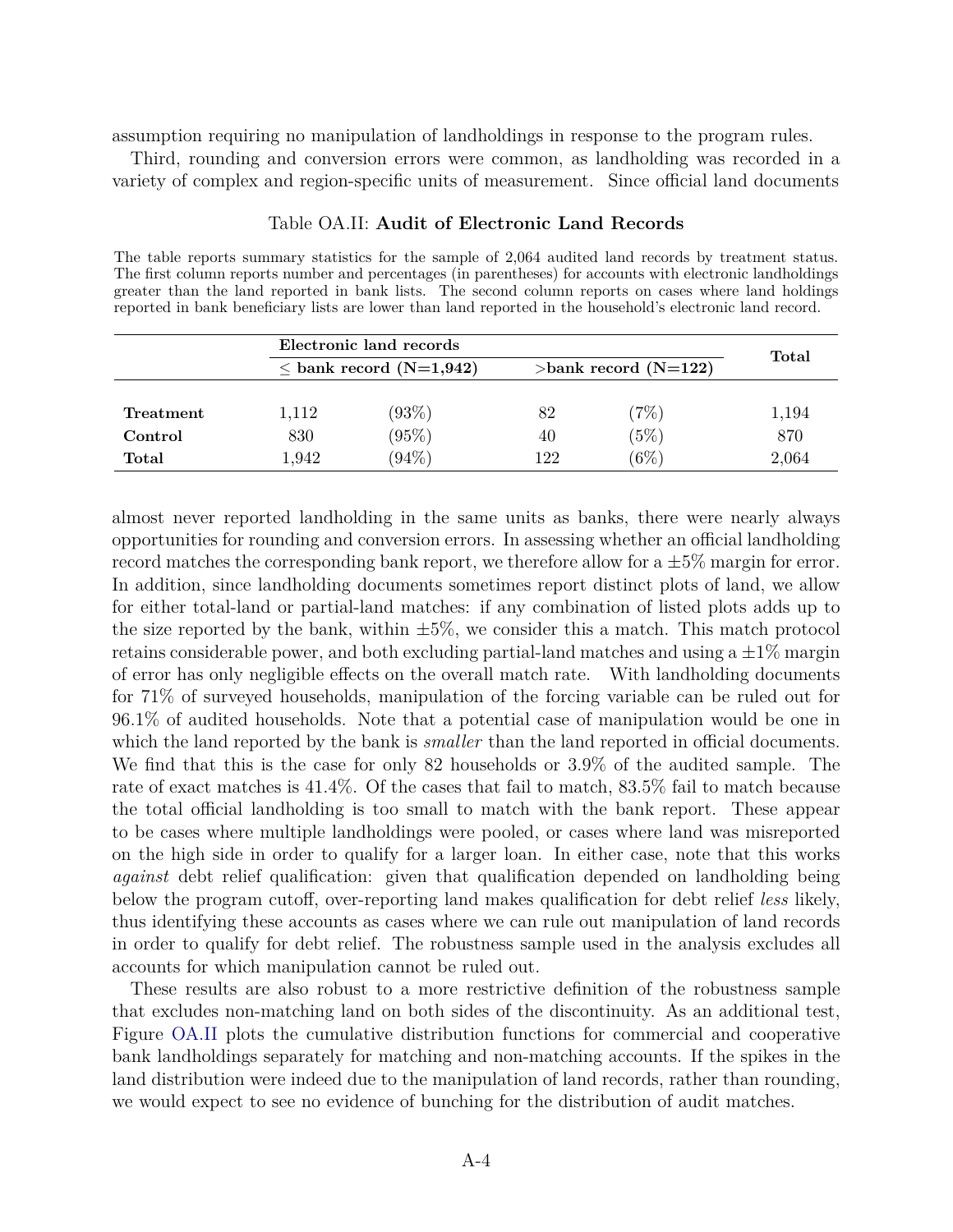assumption requiring no manipulation of landholdings in response to the program rules.

Third, rounding and conversion errors were common, as landholding was recorded in a variety of complex and region-specific units of measurement. Since official land documents

|           |       | Electronic land records      |     |                         |       |  |  |
|-----------|-------|------------------------------|-----|-------------------------|-------|--|--|
|           |       | $\leq$ bank record (N=1,942) |     | $>$ bank record (N=122) |       |  |  |
|           |       |                              |     |                         |       |  |  |
| Treatment | 1,112 | $(93\%)$                     | 82  | $(7\%)$                 | 1,194 |  |  |
| Control   | 830   | (95%)                        | 40  | $(5\%)$                 | 870   |  |  |
| Total     | l.942 | $(94\%)$                     | 122 | $\left[6\%\right]$      | 2,064 |  |  |

### Table OA.II: **Audit of Electronic Land Records**

The table reports summary statistics for the sample of 2,064 audited land records by treatment status. The first column reports number and percentages (in parentheses) for accounts with electronic landholdings greater than the land reported in bank lists. The second column reports on cases where land holdings reported in bank beneficiary lists are lower than land reported in the household's electronic land record.

**Total** 1,942 (94%) 122 (6%) 2,064 almost never reported landholding in the same units as banks, there were nearly always opportunities for rounding and conversion errors. In assessing whether an official landholding record matches the corresponding bank report, we therefore allow for a  $\pm 5\%$  margin for error. In addition, since landholding documents sometimes report distinct plots of land, we allow for either total-land or partial-land matches: if any combination of listed plots adds up to the size reported by the bank, within  $\pm 5\%$ , we consider this a match. This match protocol retains considerable power, and both excluding partial-land matches and using a  $\pm 1\%$  margin of error has only negligible effects on the overall match rate. With landholding documents for 71% of surveyed households, manipulation of the forcing variable can be ruled out for 96.1% of audited households. Note that a potential case of manipulation would be one in which the land reported by the bank is *smaller* than the land reported in official documents. We find that this is the case for only 82 households or 3.9% of the audited sample. The rate of exact matches is 41.4%. Of the cases that fail to match, 83.5% fail to match because the total official landholding is too small to match with the bank report. These appear to be cases where multiple landholdings were pooled, or cases where land was misreported on the high side in order to qualify for a larger loan. In either case, note that this works *against* debt relief qualification: given that qualification depended on landholding being below the program cutoff, over-reporting land makes qualification for debt relief *less* likely, thus identifying these accounts as cases where we can rule out manipulation of land records in order to qualify for debt relief. The robustness sample used in the analysis excludes all accounts for which manipulation cannot be ruled out.

These results are also robust to a more restrictive definition of the robustness sample that excludes non-matching land on both sides of the discontinuity. As an additional test, Figure OA.II plots the cumulative distribution functions for commercial and cooperative bank landholdings separately for matching and non-matching accounts. If the spikes in the land distribution were indeed due to the manipulation of land records, rather than rounding, we would expect to see no evidence of bunching for the distribution of audit matches.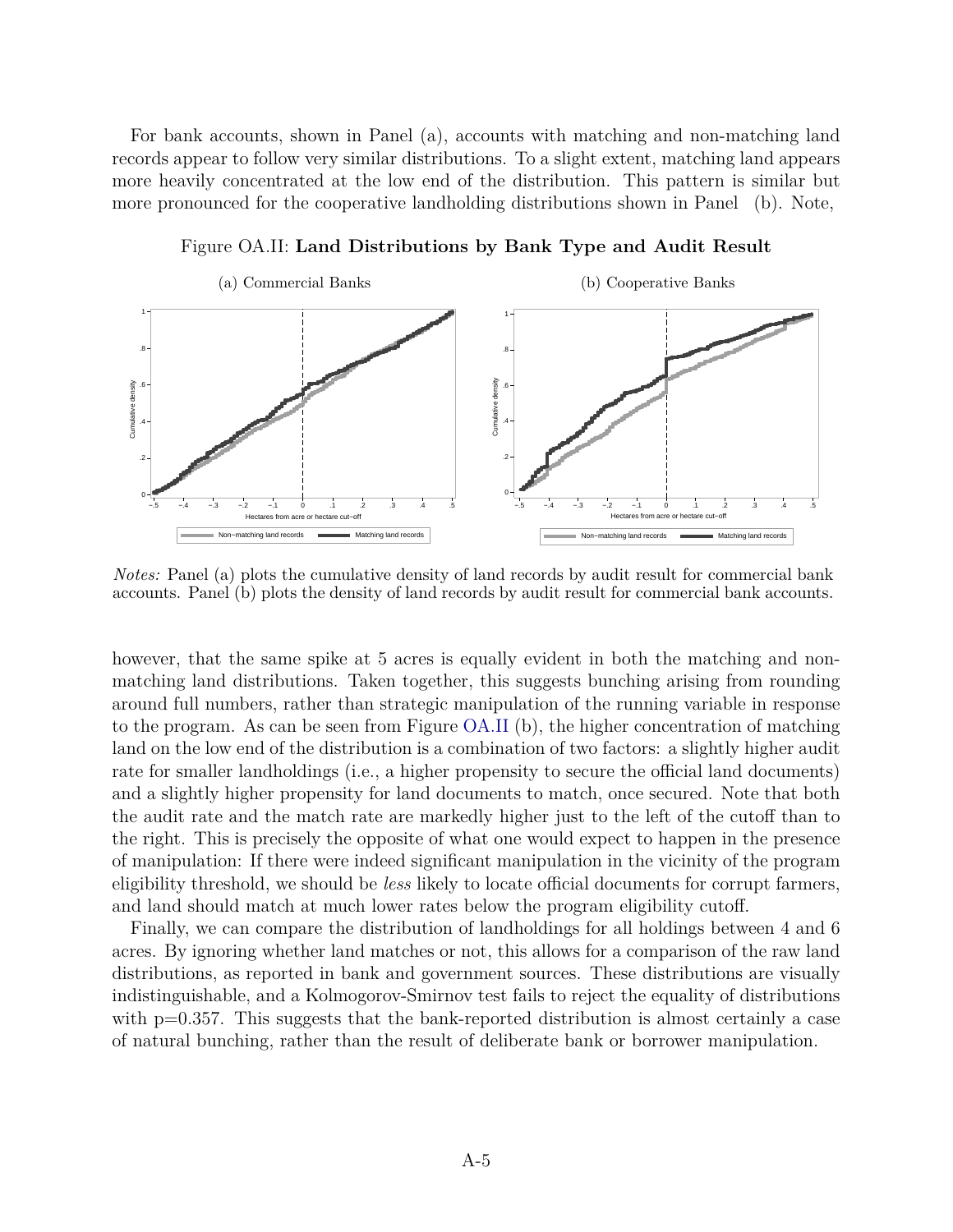For bank accounts, shown in Panel (a), accounts with matching and non-matching land records appear to follow very similar distributions. To a slight extent, matching land appears more heavily concentrated at the low end of the distribution. This pattern is similar but more pronounced for the cooperative landholding distributions shown in Panel (b). Note,



Figure OA.II: **Land Distributions by Bank Type and Audit Result**

*Notes:* Panel (a) plots the cumulative density of land records by audit result for commercial bank accounts. Panel (b) plots the density of land records by audit result for commercial bank accounts.

however, that the same spike at 5 acres is equally evident in both the matching and nonmatching land distributions. Taken together, this suggests bunching arising from rounding around full numbers, rather than strategic manipulation of the running variable in response to the program. As can be seen from Figure OA.II (b), the higher concentration of matching land on the low end of the distribution is a combination of two factors: a slightly higher audit rate for smaller landholdings (i.e., a higher propensity to secure the official land documents) and a slightly higher propensity for land documents to match, once secured. Note that both the audit rate and the match rate are markedly higher just to the left of the cutoff than to the right. This is precisely the opposite of what one would expect to happen in the presence of manipulation: If there were indeed significant manipulation in the vicinity of the program eligibility threshold, we should be *less* likely to locate official documents for corrupt farmers, and land should match at much lower rates below the program eligibility cutoff.

Finally, we can compare the distribution of landholdings for all holdings between 4 and 6 acres. By ignoring whether land matches or not, this allows for a comparison of the raw land distributions, as reported in bank and government sources. These distributions are visually indistinguishable, and a Kolmogorov-Smirnov test fails to reject the equality of distributions with  $p=0.357$ . This suggests that the bank-reported distribution is almost certainly a case of natural bunching, rather than the result of deliberate bank or borrower manipulation.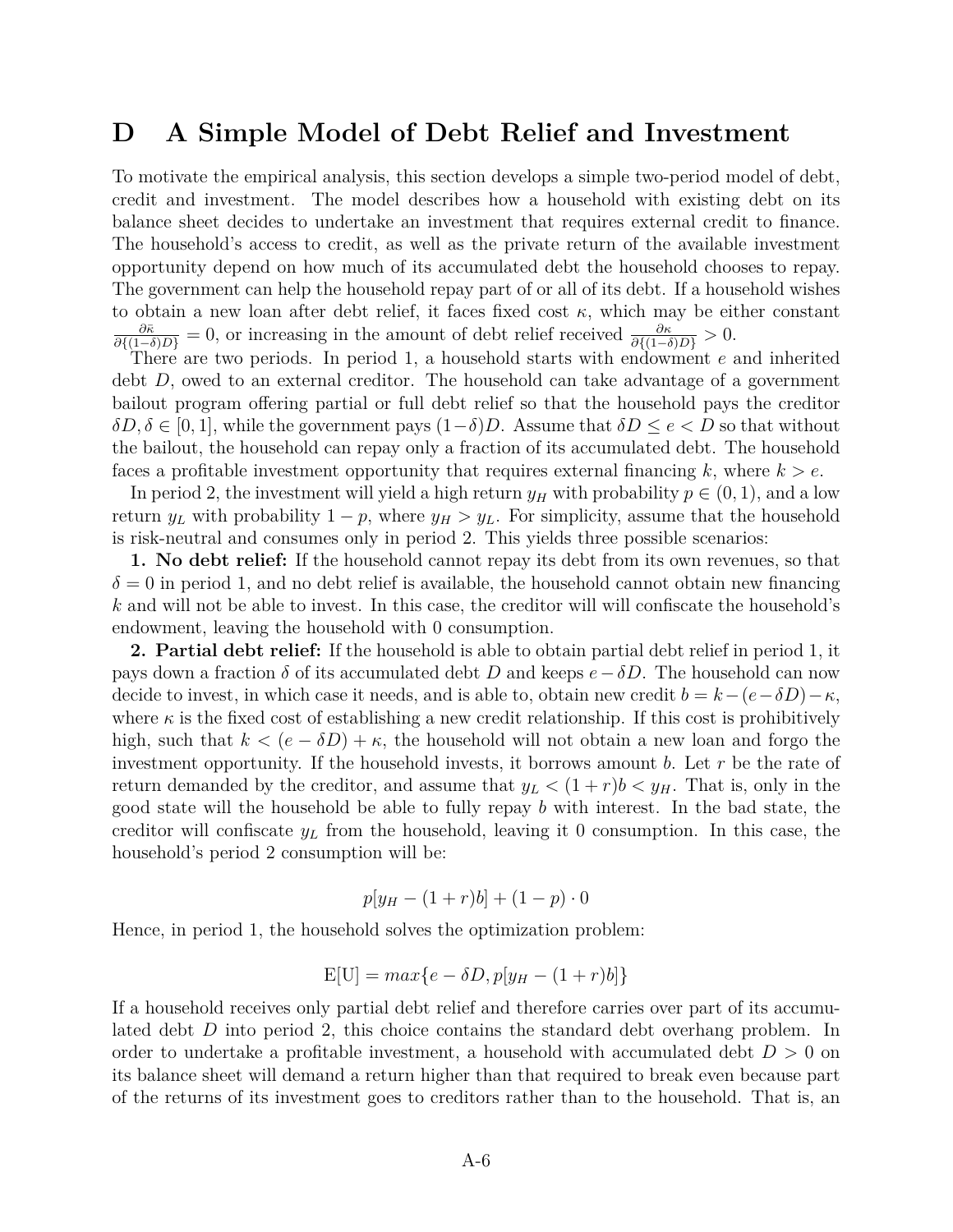## **D A Simple Model of Debt Relief and Investment**

To motivate the empirical analysis, this section develops a simple two-period model of debt, credit and investment. The model describes how a household with existing debt on its balance sheet decides to undertake an investment that requires external credit to finance. The household's access to credit, as well as the private return of the available investment opportunity depend on how much of its accumulated debt the household chooses to repay. The government can help the household repay part of or all of its debt. If a household wishes to obtain a new loan after debt relief, it faces fixed cost  $\kappa$ , which may be either constant  $\frac{\partial \bar{\kappa}}{\partial \{(1-\delta)D\}} = 0$ , or increasing in the amount of debt relief received  $\frac{\partial \kappa}{\partial \{(1-\delta)D\}} > 0$ .

There are two periods. In period 1, a household starts with endowment *e* and inherited debt *D*, owed to an external creditor. The household can take advantage of a government bailout program offering partial or full debt relief so that the household pays the creditor  $\delta D, \delta \in [0, 1]$ , while the government pays  $(1-\delta)D$ . Assume that  $\delta D \leq e < D$  so that without the bailout, the household can repay only a fraction of its accumulated debt. The household faces a profitable investment opportunity that requires external financing *k*, where *k > e*.

In period 2, the investment will yield a high return  $y_H$  with probability  $p \in (0, 1)$ , and a low return  $y_L$  with probability  $1 - p$ , where  $y_H > y_L$ . For simplicity, assume that the household is risk-neutral and consumes only in period 2. This yields three possible scenarios:

**1. No debt relief:** If the household cannot repay its debt from its own revenues, so that  $\delta = 0$  in period 1, and no debt relief is available, the household cannot obtain new financing *k* and will not be able to invest. In this case, the creditor will will confiscate the household's endowment, leaving the household with 0 consumption.

**2. Partial debt relief:** If the household is able to obtain partial debt relief in period 1, it pays down a fraction  $\delta$  of its accumulated debt *D* and keeps  $e-\delta D$ . The household can now decide to invest, in which case it needs, and is able to, obtain new credit  $b = k - (e - \delta D) - \kappa$ , where  $\kappa$  is the fixed cost of establishing a new credit relationship. If this cost is prohibitively high, such that  $k < (e - \delta D) + \kappa$ , the household will not obtain a new loan and forgo the investment opportunity. If the household invests, it borrows amount *b*. Let *r* be the rate of return demanded by the creditor, and assume that  $y_L < (1+r)b < y_H$ . That is, only in the good state will the household be able to fully repay *b* with interest. In the bad state, the creditor will confiscate  $y_L$  from the household, leaving it 0 consumption. In this case, the household's period 2 consumption will be:

$$
p[y_{H} - (1+r)b] + (1-p) \cdot 0
$$

Hence, in period 1, the household solves the optimization problem:

$$
E[U] = max\{e - \delta D, p[y_H - (1+r)b]\}
$$

If a household receives only partial debt relief and therefore carries over part of its accumulated debt *D* into period 2, this choice contains the standard debt overhang problem. In order to undertake a profitable investment, a household with accumulated debt *D >* 0 on its balance sheet will demand a return higher than that required to break even because part of the returns of its investment goes to creditors rather than to the household. That is, an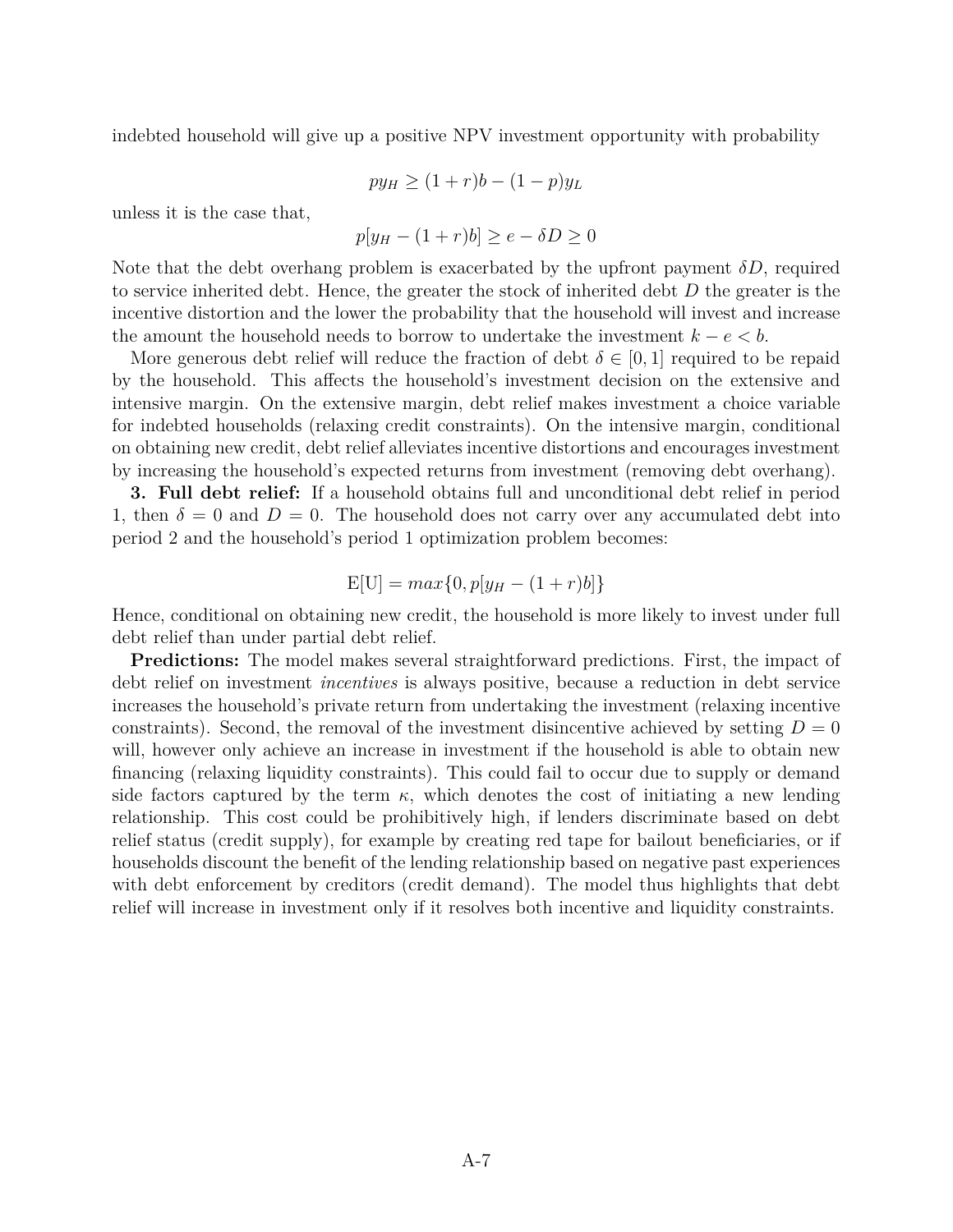indebted household will give up a positive NPV investment opportunity with probability

$$
py_H \ge (1+r)b - (1-p)y_L
$$

unless it is the case that,

$$
p[y_H - (1+r)b] \ge e - \delta D \ge 0
$$

Note that the debt overhang problem is exacerbated by the upfront payment *δD*, required to service inherited debt. Hence, the greater the stock of inherited debt *D* the greater is the incentive distortion and the lower the probability that the household will invest and increase the amount the household needs to borrow to undertake the investment  $k - e < b$ .

More generous debt relief will reduce the fraction of debt  $\delta \in [0,1]$  required to be repaid by the household. This affects the household's investment decision on the extensive and intensive margin. On the extensive margin, debt relief makes investment a choice variable for indebted households (relaxing credit constraints). On the intensive margin, conditional on obtaining new credit, debt relief alleviates incentive distortions and encourages investment by increasing the household's expected returns from investment (removing debt overhang).

**3. Full debt relief:** If a household obtains full and unconditional debt relief in period 1, then  $\delta = 0$  and  $D = 0$ . The household does not carry over any accumulated debt into period 2 and the household's period 1 optimization problem becomes:

$$
E[U] = max\{0, p[y_H - (1+r)b]\}
$$

Hence, conditional on obtaining new credit, the household is more likely to invest under full debt relief than under partial debt relief.

**Predictions:** The model makes several straightforward predictions. First, the impact of debt relief on investment *incentives* is always positive, because a reduction in debt service increases the household's private return from undertaking the investment (relaxing incentive constraints). Second, the removal of the investment disincentive achieved by setting  $D=0$ will, however only achieve an increase in investment if the household is able to obtain new financing (relaxing liquidity constraints). This could fail to occur due to supply or demand side factors captured by the term  $\kappa$ , which denotes the cost of initiating a new lending relationship. This cost could be prohibitively high, if lenders discriminate based on debt relief status (credit supply), for example by creating red tape for bailout beneficiaries, or if households discount the benefit of the lending relationship based on negative past experiences with debt enforcement by creditors (credit demand). The model thus highlights that debt relief will increase in investment only if it resolves both incentive and liquidity constraints.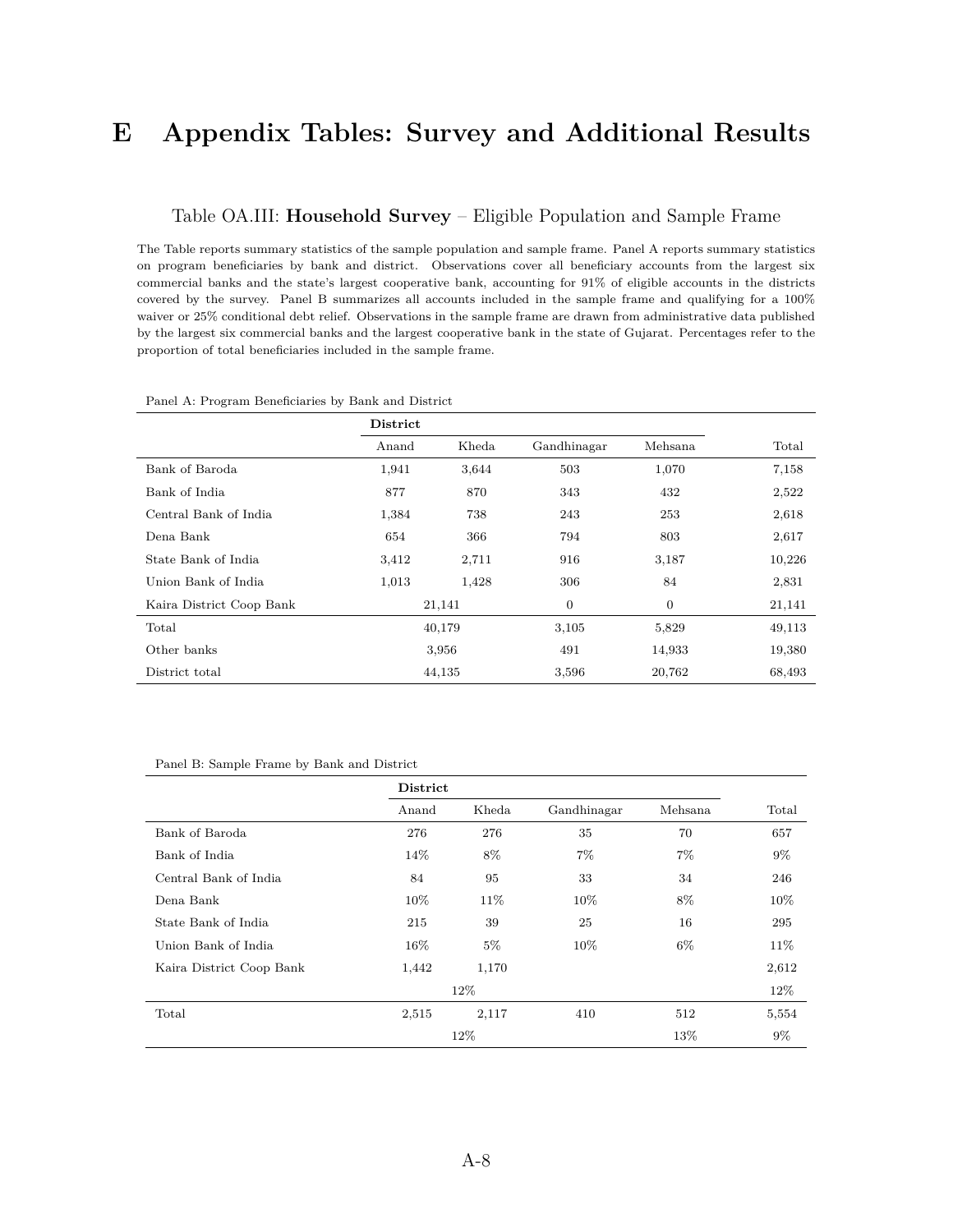## **E Appendix Tables: Survey and Additional Results**

## Table OA.III: **Household Survey** – Eligible Population and Sample Frame

The Table reports summary statistics of the sample population and sample frame. Panel A reports summary statistics on program beneficiaries by bank and district. Observations cover all beneficiary accounts from the largest six commercial banks and the state's largest cooperative bank, accounting for 91% of eligible accounts in the districts covered by the survey. Panel B summarizes all accounts included in the sample frame and qualifying for a 100% waiver or 25% conditional debt relief. Observations in the sample frame are drawn from administrative data published by the largest six commercial banks and the largest cooperative bank in the state of Gujarat. Percentages refer to the proportion of total beneficiaries included in the sample frame.

|                          | District     |        |             |              |        |
|--------------------------|--------------|--------|-------------|--------------|--------|
|                          | Anand        | Kheda  | Gandhinagar | Mehsana      | Total  |
| Bank of Baroda           | 1,941        | 3,644  | 503         | 1,070        | 7,158  |
| Bank of India            | 877          | 870    | 343         | 432          | 2,522  |
| Central Bank of India    | 1,384<br>738 |        | 243         | 253          | 2,618  |
| Dena Bank                | 654<br>366   |        | 794         | 803          | 2,617  |
| State Bank of India      | 3,412        | 2,711  | 916         | 3,187        | 10,226 |
| Union Bank of India      | 1,013        | 1,428  | 306         | 84           | 2,831  |
| Kaira District Coop Bank |              | 21,141 | 0           | $\mathbf{0}$ | 21,141 |
| Total                    |              | 40,179 | 3,105       | 5,829        | 49,113 |
| Other banks              | 3,956        |        | 491         | 14,933       | 19,380 |
| District total           |              | 44,135 | 3,596       | 20,762       | 68,493 |

#### Panel A: Program Beneficiaries by Bank and District

| Panel B: Sample Frame by Bank and District |  |  |  |  |  |  |
|--------------------------------------------|--|--|--|--|--|--|
|--------------------------------------------|--|--|--|--|--|--|

|                          | <b>District</b> |       |             |          |        |
|--------------------------|-----------------|-------|-------------|----------|--------|
|                          | Anand           | Kheda | Gandhinagar | Mehsana. | Total  |
| Bank of Baroda           | 276             | 276   | 35          | 70       | 657    |
| Bank of India            | 14%             | 8%    | $7\%$       | $7\%$    | $9\%$  |
| Central Bank of India    | 84              | 95    | 33          | 34       | 246    |
| Dena Bank                | $10\%$          | 11%   | $10\%$      | 8%       | $10\%$ |
| State Bank of India      | 215             | 39    | 25          | 16       | 295    |
| Union Bank of India      | $16\%$          | $5\%$ | $10\%$      | $6\%$    | 11\%   |
| Kaira District Coop Bank | 1,442           | 1,170 |             |          | 2,612  |
|                          | 12\%            |       |             |          | 12\%   |
| Total                    | 2,515           | 2,117 | 410         | 512      | 5,554  |
|                          |                 | 12%   |             | 13%      | $9\%$  |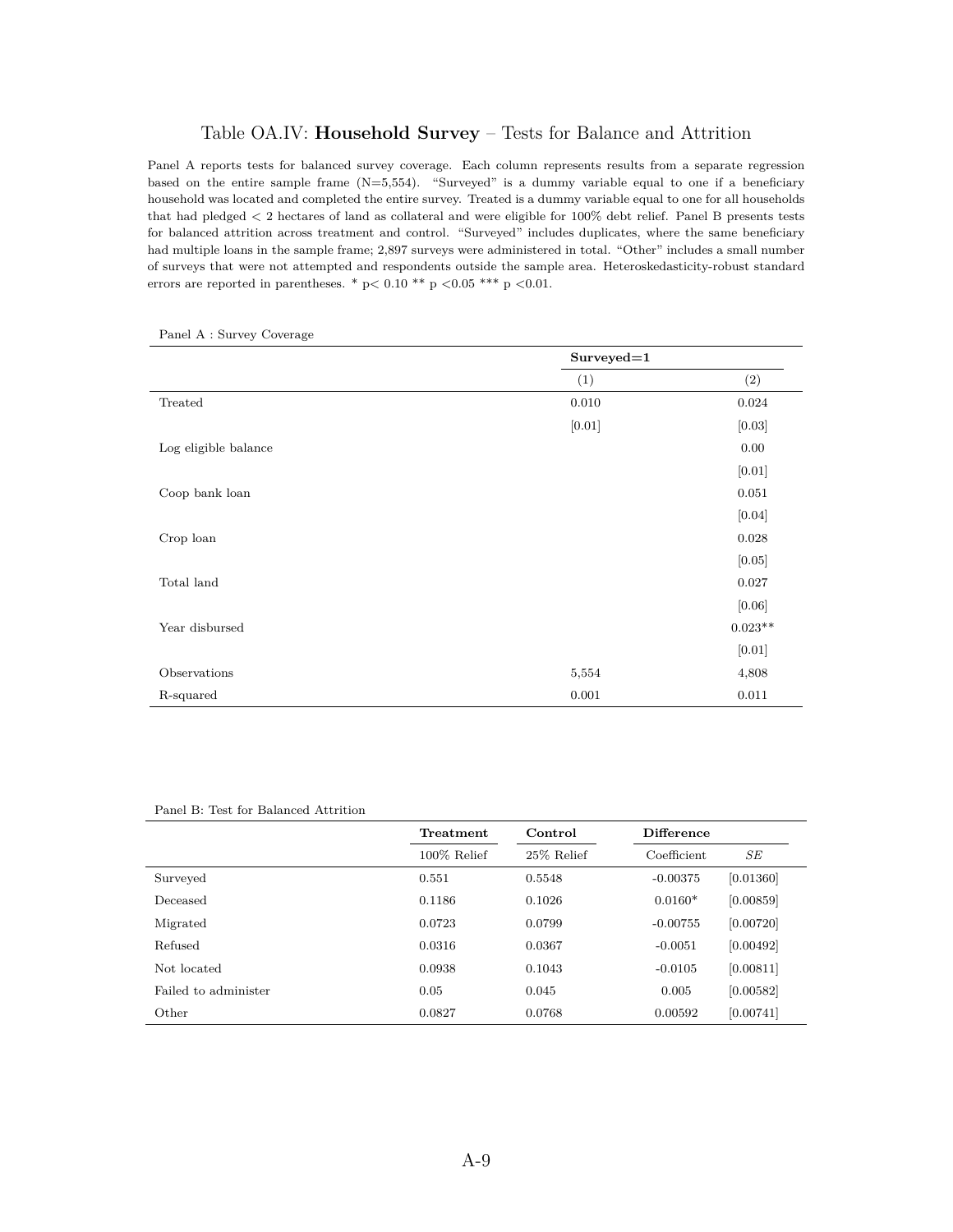## Table OA.IV: **Household Survey** – Tests for Balance and Attrition

Panel A reports tests for balanced survey coverage. Each column represents results from a separate regression based on the entire sample frame (N=5,554). "Surveyed" is a dummy variable equal to one if a beneficiary household was located and completed the entire survey. Treated is a dummy variable equal to one for all households that had pledged *<* 2 hectares of land as collateral and were eligible for 100% debt relief. Panel B presents tests for balanced attrition across treatment and control. "Surveyed" includes duplicates, where the same beneficiary had multiple loans in the sample frame; 2,897 surveys were administered in total. "Other" includes a small number of surveys that were not attempted and respondents outside the sample area. Heteroskedasticity-robust standard errors are reported in parentheses. \* p*<* 0.10 \*\* p *<*0.05 \*\*\* p *<*0.01.

|                      | $Surveyed=1$ |           |
|----------------------|--------------|-----------|
|                      | (1)          | (2)       |
| Treated              | 0.010        | 0.024     |
|                      | $[0.01]$     | [0.03]    |
| Log eligible balance |              | 0.00      |
|                      |              | $[0.01]$  |
| Coop bank loan       |              | 0.051     |
|                      |              | $[0.04]$  |
| Crop loan            |              | 0.028     |
|                      |              | [0.05]    |
| Total land           |              | 0.027     |
|                      |              | [0.06]    |
| Year disbursed       |              | $0.023**$ |
|                      |              | $[0.01]$  |
| Observations         | 5,554        | 4,808     |
| R-squared            | 0.001        | 0.011     |

Panel A : Survey Coverage

#### Panel B: Test for Balanced Attrition

|                      | Treatment      | Control    | <b>Difference</b> |           |
|----------------------|----------------|------------|-------------------|-----------|
|                      | $100\%$ Relief | 25% Relief | Coefficient       | SE        |
| Surveyed             | 0.551          | 0.5548     | $-0.00375$        | [0.01360] |
| Deceased             | 0.1186         | 0.1026     | $0.0160*$         | [0.00859] |
| Migrated             | 0.0723         | 0.0799     | $-0.00755$        | [0.00720] |
| Refused              | 0.0316         | 0.0367     | $-0.0051$         | [0.00492] |
| Not located          | 0.0938         | 0.1043     | $-0.0105$         | [0.00811] |
| Failed to administer | 0.05           | 0.045      | 0.005             | [0.00582] |
| Other                | 0.0827         | 0.0768     | 0.00592           | [0.00741] |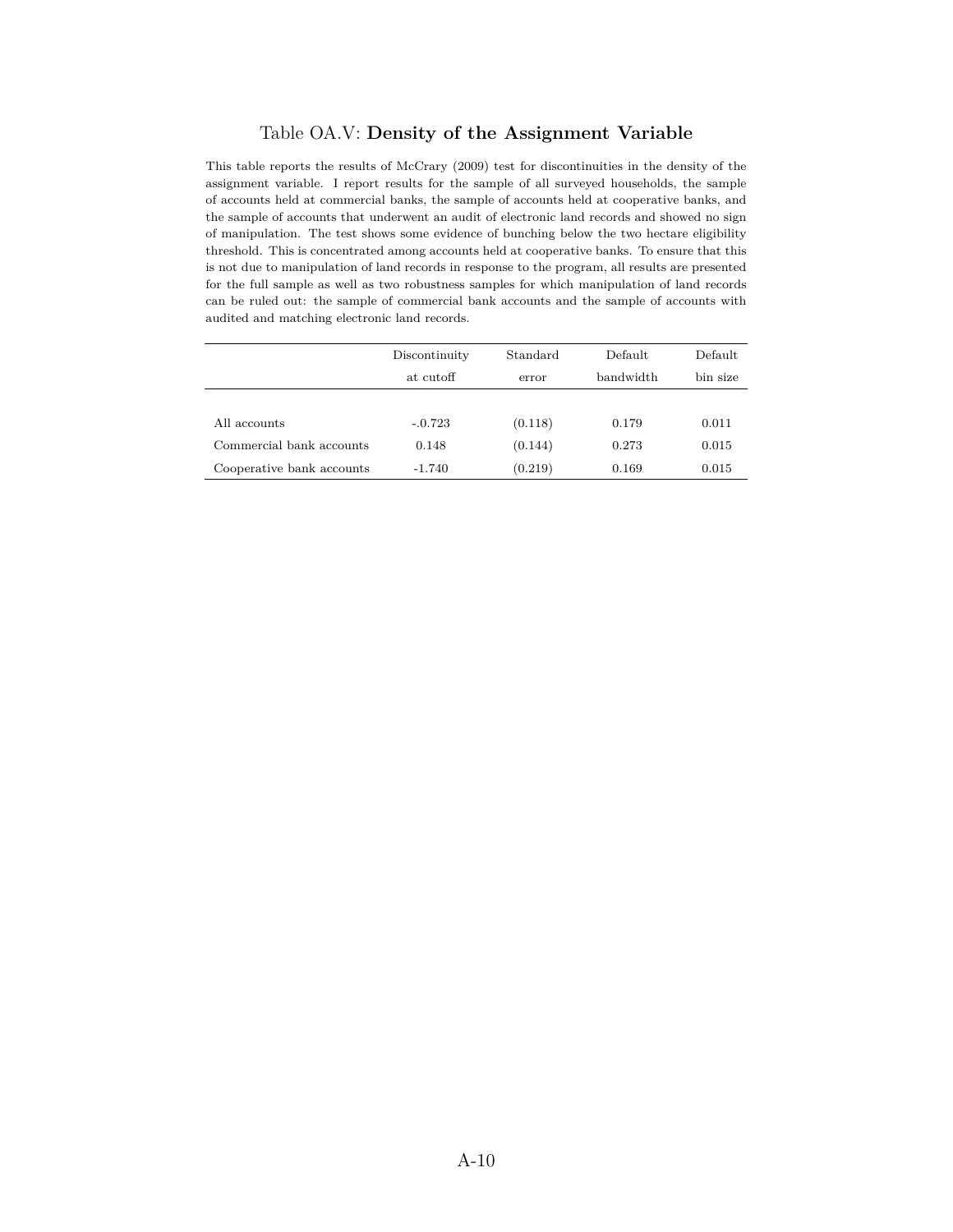## Table OA.V: **Density of the Assignment Variable**

This table reports the results of McCrary (2009) test for discontinuities in the density of the assignment variable. I report results for the sample of all surveyed households, the sample of accounts held at commercial banks, the sample of accounts held at cooperative banks, and the sample of accounts that underwent an audit of electronic land records and showed no sign of manipulation. The test shows some evidence of bunching below the two hectare eligibility threshold. This is concentrated among accounts held at cooperative banks. To ensure that this is not due to manipulation of land records in response to the program, all results are presented for the full sample as well as two robustness samples for which manipulation of land records can be ruled out: the sample of commercial bank accounts and the sample of accounts with audited and matching electronic land records.

|                           | Discontinuity | Standard | Default   | Default  |
|---------------------------|---------------|----------|-----------|----------|
|                           | at cutoff     | error    | bandwidth | bin size |
|                           |               |          |           |          |
| All accounts              | $-.0.723$     | (0.118)  | 0.179     | 0.011    |
| Commercial bank accounts  | 0.148         | (0.144)  | 0.273     | 0.015    |
| Cooperative bank accounts | -1.740        | (0.219)  | 0.169     | 0.015    |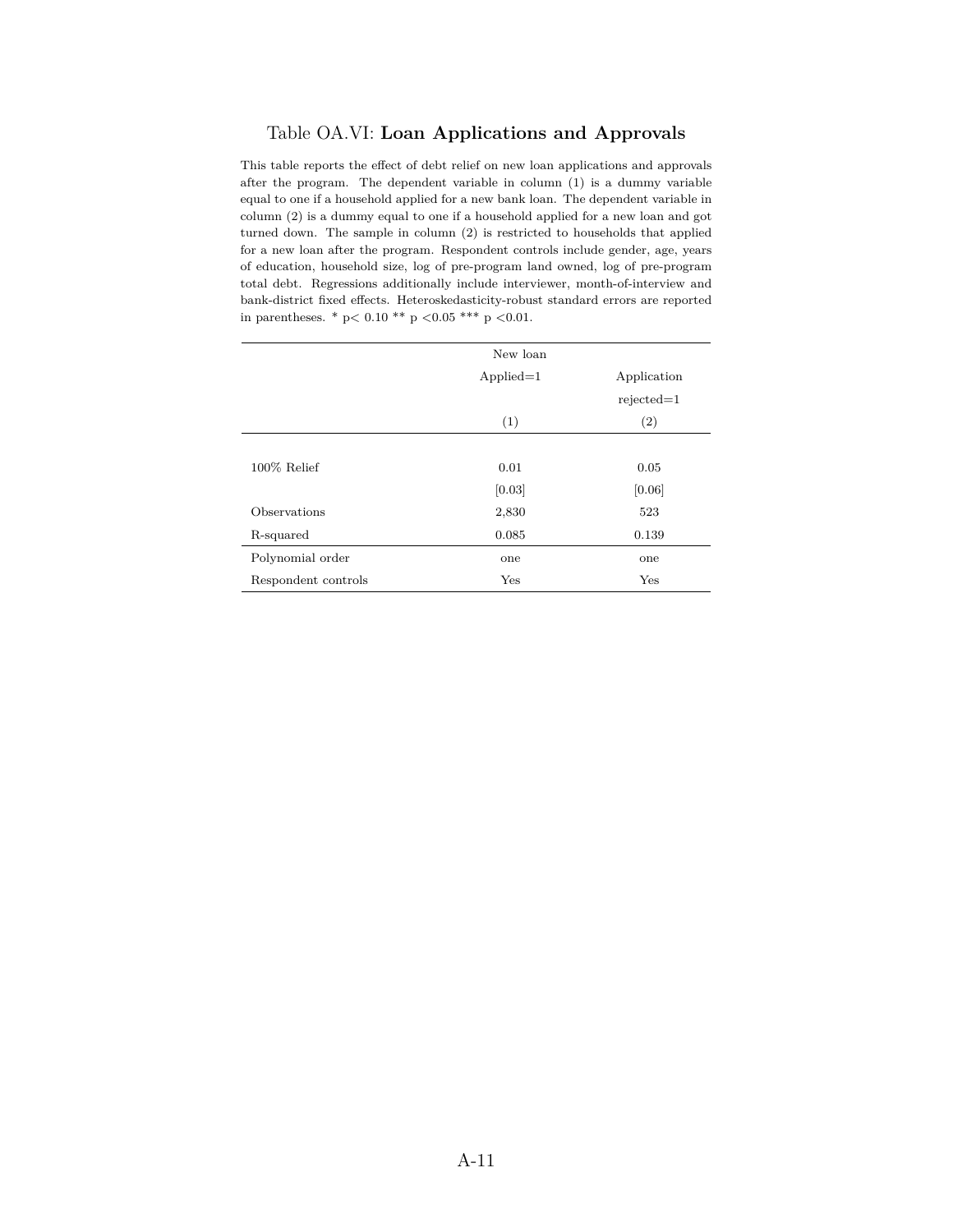## Table OA.VI: **Loan Applications and Approvals**

This table reports the effect of debt relief on new loan applications and approvals after the program. The dependent variable in column (1) is a dummy variable equal to one if a household applied for a new bank loan. The dependent variable in column (2) is a dummy equal to one if a household applied for a new loan and got turned down. The sample in column (2) is restricted to households that applied for a new loan after the program. Respondent controls include gender, age, years of education, household size, log of pre-program land owned, log of pre-program total debt. Regressions additionally include interviewer, month-of-interview and bank-district fixed effects. Heteroskedasticity-robust standard errors are reported in parentheses. \* p*<* 0.10 \*\* p *<*0.05 \*\*\* p *<*0.01.

|                     | New loan    |              |
|---------------------|-------------|--------------|
|                     | $Applied=1$ | Application  |
|                     |             | $rejected=1$ |
|                     | (1)         | (2)          |
|                     |             |              |
| $100\%$ Relief      | 0.01        | 0.05         |
|                     | [0.03]      | [0.06]       |
| Observations        | 2,830       | 523          |
| R-squared           | 0.085       | 0.139        |
| Polynomial order    | one         | one          |
| Respondent controls | Yes         | Yes          |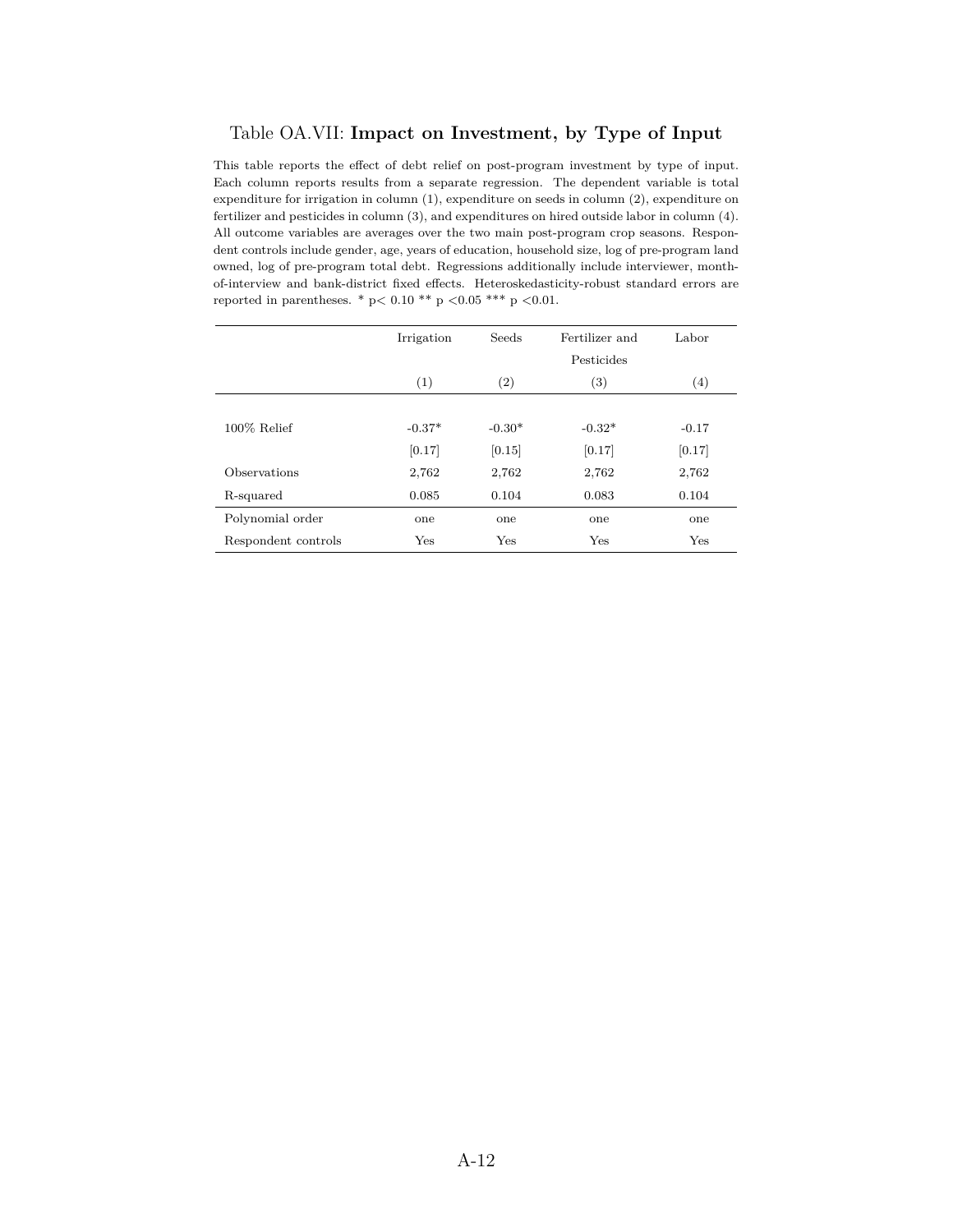## Table OA.VII: **Impact on Investment, by Type of Input**

This table reports the effect of debt relief on post-program investment by type of input. Each column reports results from a separate regression. The dependent variable is total expenditure for irrigation in column (1), expenditure on seeds in column (2), expenditure on fertilizer and pesticides in column (3), and expenditures on hired outside labor in column (4). All outcome variables are averages over the two main post-program crop seasons. Respondent controls include gender, age, years of education, household size, log of pre-program land owned, log of pre-program total debt. Regressions additionally include interviewer, monthof-interview and bank-district fixed effects. Heteroskedasticity-robust standard errors are reported in parentheses. \* p*<* 0.10 \*\* p *<*0.05 \*\*\* p *<*0.01.

|                     | Irrigation | <b>Seeds</b>      | Fertilizer and | Labor             |
|---------------------|------------|-------------------|----------------|-------------------|
|                     |            |                   | Pesticides     |                   |
|                     | (1)        | $\left( 2\right)$ | (3)            | $\left( 4\right)$ |
|                     |            |                   |                |                   |
| $100\%$ Relief      | $-0.37*$   | $-0.30*$          | $-0.32*$       | $-0.17$           |
|                     | [0.17]     | [0.15]            | [0.17]         | [0.17]            |
| Observations        | 2,762      | 2,762             | 2,762          | 2,762             |
| R-squared           | 0.085      | 0.104             | 0.083          | 0.104             |
| Polynomial order    | one        | one               | one            | one               |
| Respondent controls | Yes        | $_{\rm Yes}$      | Yes            | Yes               |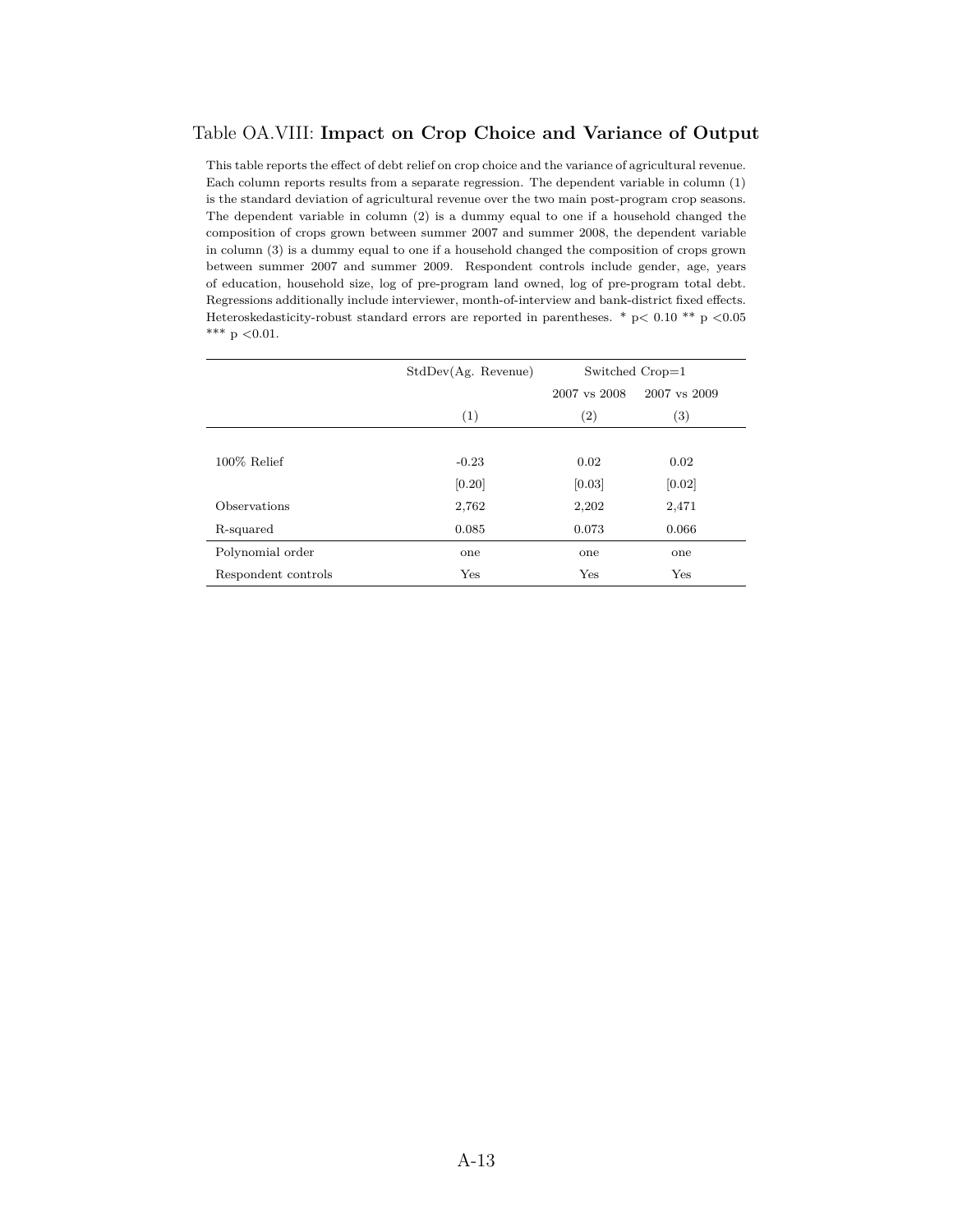## Table OA.VIII: **Impact on Crop Choice and Variance of Output**

This table reports the effect of debt relief on crop choice and the variance of agricultural revenue. Each column reports results from a separate regression. The dependent variable in column (1) is the standard deviation of agricultural revenue over the two main post-program crop seasons. The dependent variable in column (2) is a dummy equal to one if a household changed the composition of crops grown between summer 2007 and summer 2008, the dependent variable in column (3) is a dummy equal to one if a household changed the composition of crops grown between summer 2007 and summer 2009. Respondent controls include gender, age, years of education, household size, log of pre-program land owned, log of pre-program total debt. Regressions additionally include interviewer, month-of-interview and bank-district fixed effects. Heteroskedasticity-robust standard errors are reported in parentheses. \* p*<* 0.10 \*\* p *<*0.05 \*\*\* p *<*0.01.

| StdDev(Ag. Revenue) | Switched Crop=1   |                   |  |
|---------------------|-------------------|-------------------|--|
|                     | 2007 vs 2008      | 2007 vs 2009      |  |
| (1)                 | $\left( 2\right)$ | $\left( 3\right)$ |  |
|                     |                   |                   |  |
| $-0.23$             | 0.02              | 0.02              |  |
| [0.20]              | [0.03]            | [0.02]            |  |
| 2,762               | 2,202             | 2,471             |  |
| 0.085               | 0.073             | 0.066             |  |
| one                 | one               | one               |  |
| Yes                 | Yes               | Yes               |  |
|                     |                   |                   |  |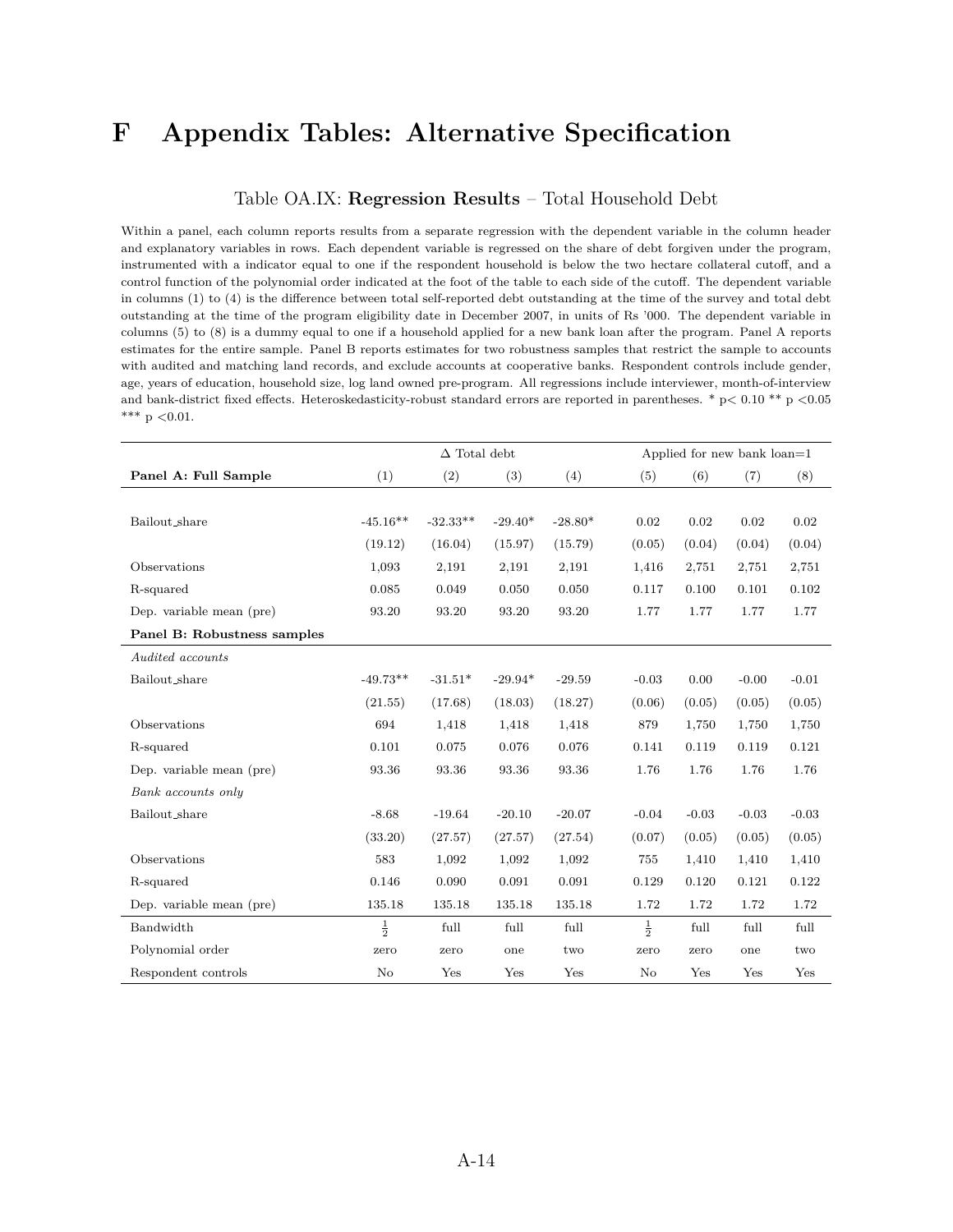## **F Appendix Tables: Alternative Specification**

### Table OA.IX: **Regression Results** – Total Household Debt

Within a panel, each column reports results from a separate regression with the dependent variable in the column header and explanatory variables in rows. Each dependent variable is regressed on the share of debt forgiven under the program, instrumented with a indicator equal to one if the respondent household is below the two hectare collateral cutoff, and a control function of the polynomial order indicated at the foot of the table to each side of the cutoff. The dependent variable in columns (1) to (4) is the difference between total self-reported debt outstanding at the time of the survey and total debt outstanding at the time of the program eligibility date in December 2007, in units of Rs '000. The dependent variable in columns (5) to (8) is a dummy equal to one if a household applied for a new bank loan after the program. Panel A reports estimates for the entire sample. Panel B reports estimates for two robustness samples that restrict the sample to accounts with audited and matching land records, and exclude accounts at cooperative banks. Respondent controls include gender, age, years of education, household size, log land owned pre-program. All regressions include interviewer, month-of-interview and bank-district fixed effects. Heteroskedasticity-robust standard errors are reported in parentheses. \* p*<* 0.10 \*\* p *<*0.05 \*\*\* p *<*0.01.

|                             | $\Delta$ Total debt |            |           |           | Applied for new bank loan=1 |         |         |         |
|-----------------------------|---------------------|------------|-----------|-----------|-----------------------------|---------|---------|---------|
| Panel A: Full Sample        | (1)                 | (2)        | (3)       | (4)       | (5)                         | (6)     | (7)     | (8)     |
|                             |                     |            |           |           |                             |         |         |         |
| Bailout_share               | $-45.16**$          | $-32.33**$ | $-29.40*$ | $-28.80*$ | 0.02                        | 0.02    | 0.02    | 0.02    |
|                             | (19.12)             | (16.04)    | (15.97)   | (15.79)   | (0.05)                      | (0.04)  | (0.04)  | (0.04)  |
| Observations                | 1,093               | 2,191      | 2,191     | 2,191     | 1,416                       | 2,751   | 2,751   | 2,751   |
| R-squared                   | 0.085               | 0.049      | 0.050     | 0.050     | 0.117                       | 0.100   | 0.101   | 0.102   |
| Dep. variable mean (pre)    | 93.20               | 93.20      | 93.20     | 93.20     | 1.77                        | 1.77    | 1.77    | 1.77    |
| Panel B: Robustness samples |                     |            |           |           |                             |         |         |         |
| Audited accounts            |                     |            |           |           |                             |         |         |         |
| Bailout_share               | $-49.73**$          | $-31.51*$  | $-29.94*$ | $-29.59$  | $-0.03$                     | 0.00    | $-0.00$ | $-0.01$ |
|                             | (21.55)             | (17.68)    | (18.03)   | (18.27)   | (0.06)                      | (0.05)  | (0.05)  | (0.05)  |
| Observations                | 694                 | 1,418      | 1,418     | 1,418     | 879                         | 1,750   | 1,750   | 1,750   |
| R-squared                   | 0.101               | 0.075      | 0.076     | 0.076     | 0.141                       | 0.119   | 0.119   | 0.121   |
| Dep. variable mean (pre)    | 93.36               | 93.36      | 93.36     | 93.36     | 1.76                        | 1.76    | 1.76    | 1.76    |
| Bank accounts only          |                     |            |           |           |                             |         |         |         |
| Bailout_share               | $-8.68$             | $-19.64$   | $-20.10$  | $-20.07$  | $-0.04$                     | $-0.03$ | $-0.03$ | $-0.03$ |
|                             | (33.20)             | (27.57)    | (27.57)   | (27.54)   | (0.07)                      | (0.05)  | (0.05)  | (0.05)  |
| Observations                | 583                 | 1,092      | 1,092     | 1,092     | 755                         | 1,410   | 1,410   | 1,410   |
| R-squared                   | 0.146               | 0.090      | 0.091     | 0.091     | 0.129                       | 0.120   | 0.121   | 0.122   |
| Dep. variable mean (pre)    | 135.18              | 135.18     | 135.18    | 135.18    | 1.72                        | 1.72    | 1.72    | 1.72    |
| Bandwidth                   | $\frac{1}{2}$       | full       | full      | full      | $\frac{1}{2}$               | full    | full    | full    |
| Polynomial order            | zero                | zero       | one       | two       | zero                        | zero    | one     | two     |
| Respondent controls         | $\rm No$            | Yes        | Yes       | Yes       | $\rm No$                    | Yes     | Yes     | Yes     |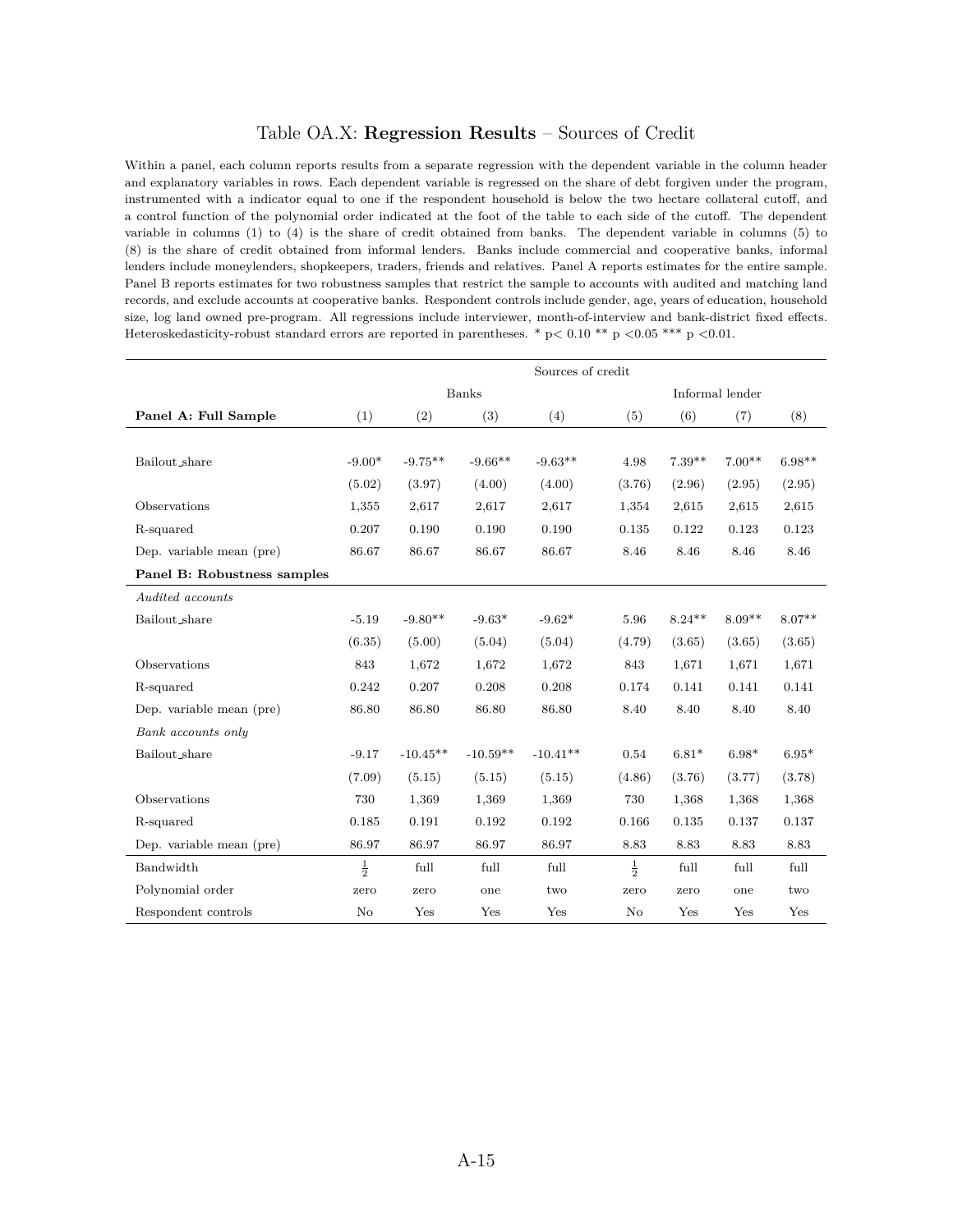## Table OA.X: **Regression Results** – Sources of Credit

Within a panel, each column reports results from a separate regression with the dependent variable in the column header and explanatory variables in rows. Each dependent variable is regressed on the share of debt forgiven under the program, instrumented with a indicator equal to one if the respondent household is below the two hectare collateral cutoff, and a control function of the polynomial order indicated at the foot of the table to each side of the cutoff. The dependent variable in columns (1) to (4) is the share of credit obtained from banks. The dependent variable in columns (5) to (8) is the share of credit obtained from informal lenders. Banks include commercial and cooperative banks, informal lenders include moneylenders, shopkeepers, traders, friends and relatives. Panel A reports estimates for the entire sample. Panel B reports estimates for two robustness samples that restrict the sample to accounts with audited and matching land records, and exclude accounts at cooperative banks. Respondent controls include gender, age, years of education, household size, log land owned pre-program. All regressions include interviewer, month-of-interview and bank-district fixed effects. Heteroskedasticity-robust standard errors are reported in parentheses. \* p*<* 0.10 \*\* p *<*0.05 \*\*\* p *<*0.01.

|                             | Sources of credit |            |            |            |               |                 |          |          |  |  |
|-----------------------------|-------------------|------------|------------|------------|---------------|-----------------|----------|----------|--|--|
|                             | Banks             |            |            |            |               | Informal lender |          |          |  |  |
| Panel A: Full Sample        | (1)               | (2)        | (3)        | (4)        | (5)           | (6)             | (7)      | (8)      |  |  |
|                             |                   |            |            |            |               |                 |          |          |  |  |
| Bailout_share               | $-9.00*$          | $-9.75**$  | $-9.66**$  | $-9.63**$  | 4.98          | $7.39**$        | $7.00**$ | $6.98**$ |  |  |
|                             | (5.02)            | (3.97)     | (4.00)     | (4.00)     | (3.76)        | (2.96)          | (2.95)   | (2.95)   |  |  |
| Observations                | 1,355             | 2,617      | 2,617      | 2,617      | 1,354         | 2,615           | 2,615    | 2,615    |  |  |
| R-squared                   | 0.207             | 0.190      | 0.190      | 0.190      | 0.135         | 0.122           | 0.123    | 0.123    |  |  |
| Dep. variable mean (pre)    | 86.67             | 86.67      | 86.67      | 86.67      | 8.46          | 8.46            | 8.46     | 8.46     |  |  |
| Panel B: Robustness samples |                   |            |            |            |               |                 |          |          |  |  |
| Audited accounts            |                   |            |            |            |               |                 |          |          |  |  |
| Bailout_share               | $-5.19$           | $-9.80**$  | $-9.63*$   | $-9.62*$   | 5.96          | $8.24**$        | $8.09**$ | $8.07**$ |  |  |
|                             | (6.35)            | (5.00)     | (5.04)     | (5.04)     | (4.79)        | (3.65)          | (3.65)   | (3.65)   |  |  |
| Observations                | 843               | 1,672      | 1,672      | 1,672      | 843           | 1,671           | 1,671    | 1,671    |  |  |
| R-squared                   | 0.242             | 0.207      | 0.208      | 0.208      | 0.174         | 0.141           | 0.141    | 0.141    |  |  |
| Dep. variable mean (pre)    | 86.80             | 86.80      | 86.80      | 86.80      | 8.40          | 8.40            | 8.40     | 8.40     |  |  |
| Bank accounts only          |                   |            |            |            |               |                 |          |          |  |  |
| Bailout_share               | $-9.17$           | $-10.45**$ | $-10.59**$ | $-10.41**$ | 0.54          | $6.81*$         | $6.98*$  | $6.95*$  |  |  |
|                             | (7.09)            | (5.15)     | (5.15)     | (5.15)     | (4.86)        | (3.76)          | (3.77)   | (3.78)   |  |  |
| Observations                | 730               | 1,369      | 1,369      | 1,369      | 730           | 1,368           | 1,368    | 1,368    |  |  |
| R-squared                   | 0.185             | 0.191      | 0.192      | 0.192      | 0.166         | 0.135           | 0.137    | 0.137    |  |  |
| Dep. variable mean (pre)    | 86.97             | 86.97      | 86.97      | 86.97      | 8.83          | 8.83            | 8.83     | 8.83     |  |  |
| Bandwidth                   | $\frac{1}{2}$     | full       | full       | full       | $\frac{1}{2}$ | full            | full     | full     |  |  |
| Polynomial order            | zero              | zero       | one        | two        | zero          | zero            | one      | two      |  |  |
| Respondent controls         | No                | Yes        | Yes        | Yes        | No            | Yes             | Yes      | Yes      |  |  |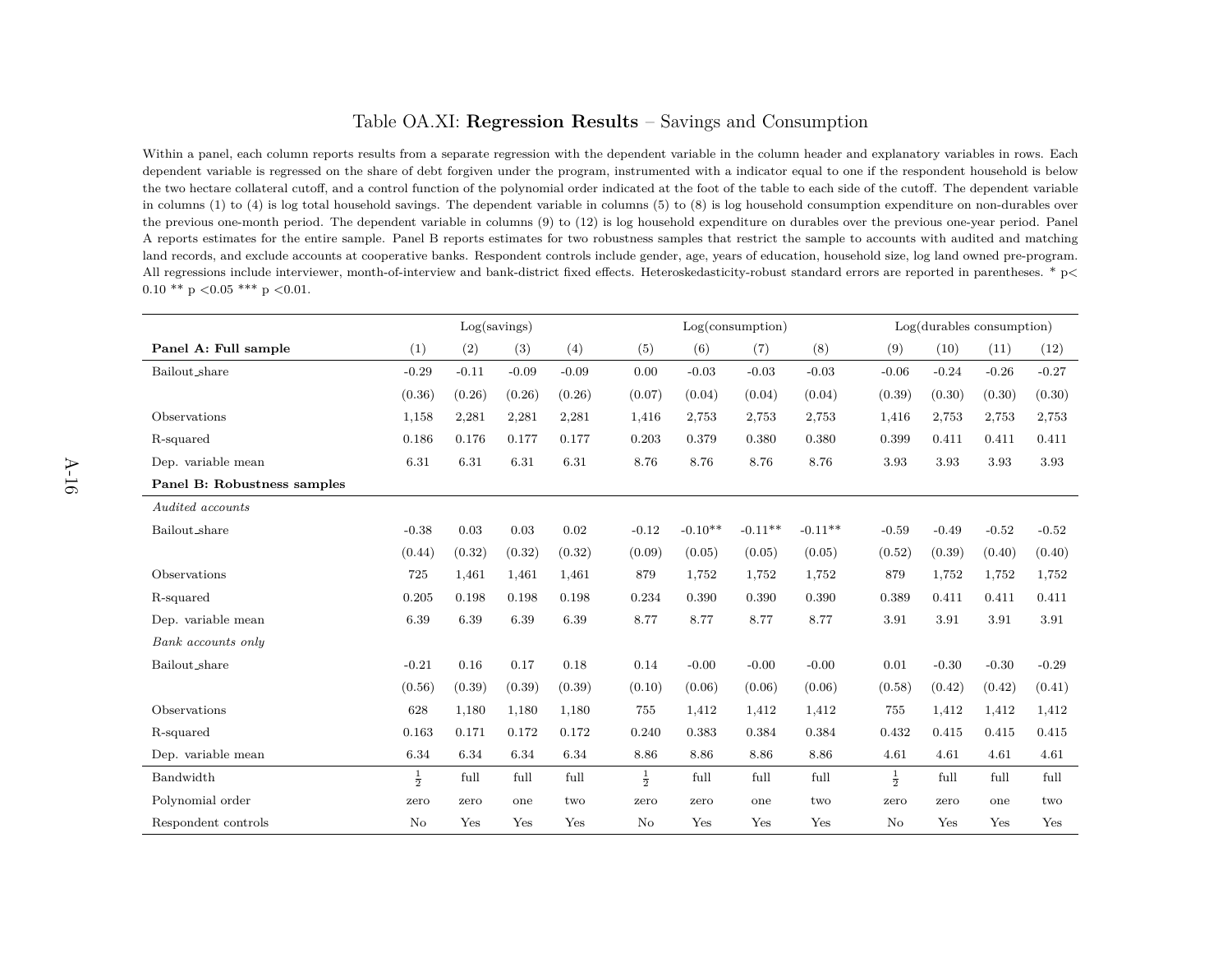## Table OA.XI: **Regression Results** – Savings and Consumption

Within a panel, each column reports results from a separate regression with the dependent variable in the column header and explanatory variables in rows. Each dependent variable is regressed on the share of debt forgiven under the program, instrumented with <sup>a</sup> indicator equal to one if the respondent household is below the two hectare collateral cutoff, and <sup>a</sup> control function of the polynomial order indicated at the foot of the table to each side of the cutoff. The dependent variable in columns (1) to (4) is log total household savings. The dependent variable in columns (5) to (8) is log household consumption expenditure on non-durables over the previous one-month period. The dependent variable in columns (9) to (12) is log household expenditure on durables over the previous one-year period. PanelA reports estimates for the entire sample. Panel B reports estimates for two robustness samples that restrict the sample to accounts with audited and matching land records, and exclude accounts at cooperative banks. Respondent controls include gender, age, years of education, household size, log land owned pre-program.All regressions include interviewer, month-of-interview and bank-district fixed effects. Heteroskedasticity-robust standard errors are reported in parentheses. \* <sup>p</sup>*<sup>&</sup>lt;*0.10 \*\* <sup>p</sup> *<sup>&</sup>lt;*0.05 \*\*\* <sup>p</sup> *<sup>&</sup>lt;*0.01.

|                             | Log(savings)  |         |         | Log(consumption) |               |           |           | Log(durables consumption) |               |         |         |         |
|-----------------------------|---------------|---------|---------|------------------|---------------|-----------|-----------|---------------------------|---------------|---------|---------|---------|
| Panel A: Full sample        | (1)           | (2)     | (3)     | (4)              | (5)           | (6)       | (7)       | (8)                       | (9)           | (10)    | (11)    | (12)    |
| Bailout_share               | $-0.29$       | $-0.11$ | $-0.09$ | $-0.09$          | 0.00          | $-0.03$   | $-0.03$   | $-0.03$                   | $-0.06$       | $-0.24$ | $-0.26$ | $-0.27$ |
|                             | (0.36)        | (0.26)  | (0.26)  | (0.26)           | (0.07)        | (0.04)    | (0.04)    | (0.04)                    | (0.39)        | (0.30)  | (0.30)  | (0.30)  |
| Observations                | 1,158         | 2,281   | 2,281   | 2,281            | 1,416         | 2,753     | 2,753     | 2,753                     | 1,416         | 2,753   | 2,753   | 2,753   |
| R-squared                   | 0.186         | 0.176   | 0.177   | 0.177            | 0.203         | 0.379     | 0.380     | 0.380                     | 0.399         | 0.411   | 0.411   | 0.411   |
| Dep. variable mean          | 6.31          | 6.31    | 6.31    | 6.31             | 8.76          | 8.76      | 8.76      | 8.76                      | 3.93          | 3.93    | 3.93    | 3.93    |
| Panel B: Robustness samples |               |         |         |                  |               |           |           |                           |               |         |         |         |
| Audited accounts            |               |         |         |                  |               |           |           |                           |               |         |         |         |
| Bailout_share               | $-0.38$       | 0.03    | 0.03    | 0.02             | $-0.12$       | $-0.10**$ | $-0.11**$ | $-0.11**$                 | $-0.59$       | $-0.49$ | $-0.52$ | $-0.52$ |
|                             | (0.44)        | (0.32)  | (0.32)  | (0.32)           | (0.09)        | (0.05)    | (0.05)    | (0.05)                    | (0.52)        | (0.39)  | (0.40)  | (0.40)  |
| Observations                | 725           | 1,461   | 1,461   | 1,461            | 879           | 1,752     | 1,752     | 1,752                     | 879           | 1,752   | 1,752   | 1,752   |
| R-squared                   | 0.205         | 0.198   | 0.198   | 0.198            | 0.234         | 0.390     | 0.390     | 0.390                     | 0.389         | 0.411   | 0.411   | 0.411   |
| Dep. variable mean          | 6.39          | 6.39    | 6.39    | 6.39             | 8.77          | 8.77      | 8.77      | 8.77                      | 3.91          | 3.91    | 3.91    | 3.91    |
| Bank accounts only          |               |         |         |                  |               |           |           |                           |               |         |         |         |
| Bailout_share               | $-0.21$       | 0.16    | 0.17    | 0.18             | 0.14          | $-0.00$   | $-0.00$   | $-0.00$                   | 0.01          | $-0.30$ | $-0.30$ | $-0.29$ |
|                             | (0.56)        | (0.39)  | (0.39)  | (0.39)           | (0.10)        | (0.06)    | (0.06)    | (0.06)                    | (0.58)        | (0.42)  | (0.42)  | (0.41)  |
| Observations                | 628           | 1,180   | 1,180   | 1,180            | 755           | 1,412     | 1,412     | 1,412                     | 755           | 1,412   | 1,412   | 1,412   |
| R-squared                   | 0.163         | 0.171   | 0.172   | 0.172            | 0.240         | 0.383     | 0.384     | 0.384                     | 0.432         | 0.415   | 0.415   | 0.415   |
| Dep. variable mean          | 6.34          | 6.34    | 6.34    | 6.34             | 8.86          | 8.86      | 8.86      | 8.86                      | 4.61          | 4.61    | 4.61    | 4.61    |
| Bandwidth                   | $\frac{1}{2}$ | full    | full    | full             | $\frac{1}{2}$ | full      | full      | full                      | $\frac{1}{2}$ | full    | full    | full    |
| Polynomial order            | zero          | zero    | one     | two              | zero          | zero      | one       | two                       | zero          | zero    | one     | two     |
| Respondent controls         | No            | Yes     | Yes     | Yes              | No            | Yes       | Yes       | Yes                       | No            | Yes     | Yes     | Yes     |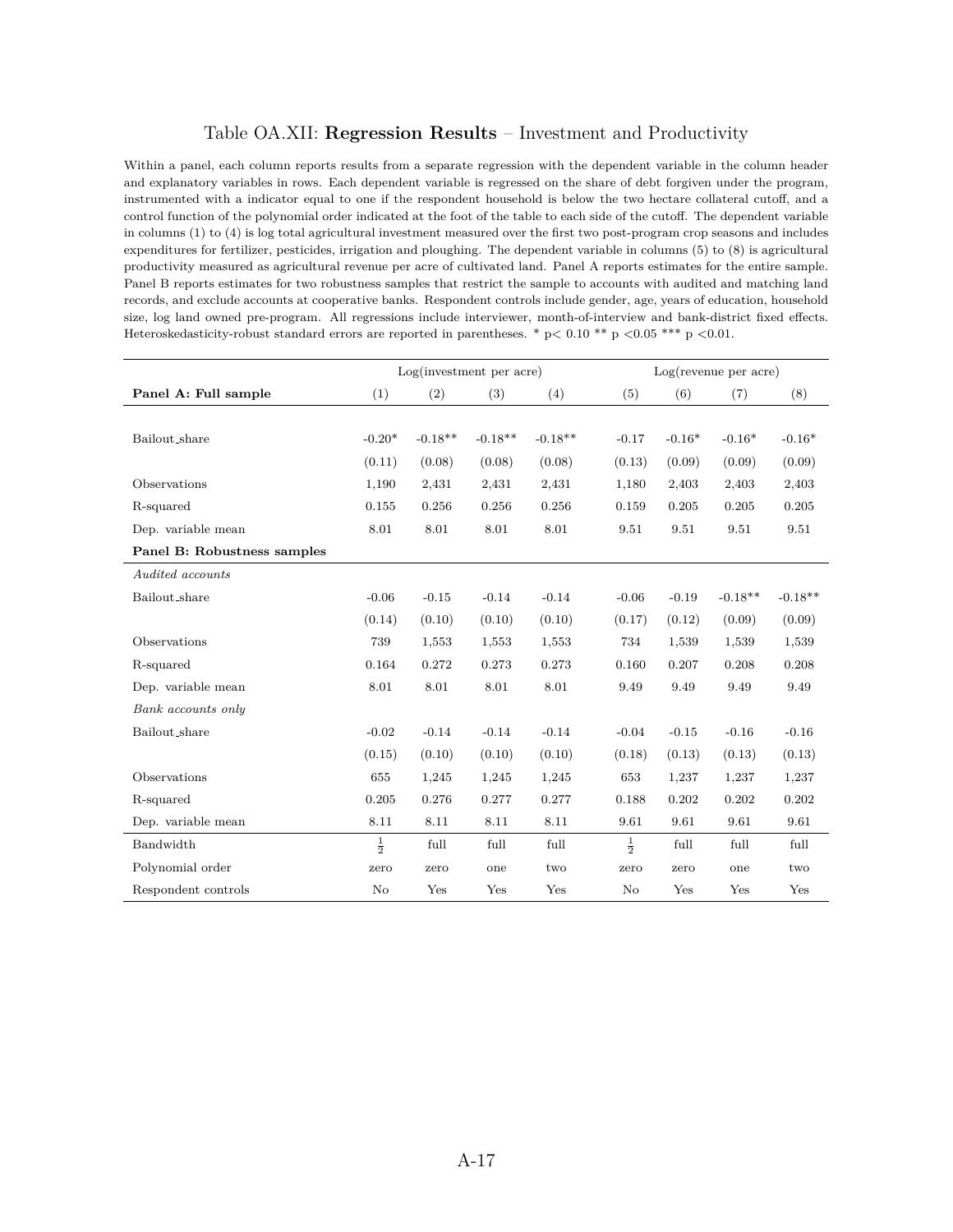## Table OA.XII: **Regression Results** – Investment and Productivity

Within a panel, each column reports results from a separate regression with the dependent variable in the column header and explanatory variables in rows. Each dependent variable is regressed on the share of debt forgiven under the program, instrumented with a indicator equal to one if the respondent household is below the two hectare collateral cutoff, and a control function of the polynomial order indicated at the foot of the table to each side of the cutoff. The dependent variable in columns (1) to (4) is log total agricultural investment measured over the first two post-program crop seasons and includes expenditures for fertilizer, pesticides, irrigation and ploughing. The dependent variable in columns (5) to (8) is agricultural productivity measured as agricultural revenue per acre of cultivated land. Panel A reports estimates for the entire sample. Panel B reports estimates for two robustness samples that restrict the sample to accounts with audited and matching land records, and exclude accounts at cooperative banks. Respondent controls include gender, age, years of education, household size, log land owned pre-program. All regressions include interviewer, month-of-interview and bank-district fixed effects. Heteroskedasticity-robust standard errors are reported in parentheses. \* p*<* 0.10 \*\* p *<*0.05 \*\*\* p *<*0.01.

|                             |               |           | Log(investment per acre) |           |               | Log(revenue per acre) |           |           |  |  |
|-----------------------------|---------------|-----------|--------------------------|-----------|---------------|-----------------------|-----------|-----------|--|--|
| Panel A: Full sample        | (1)           | (2)       | (3)                      | (4)       | (5)           | (6)                   | (7)       | (8)       |  |  |
|                             |               |           |                          |           |               |                       |           |           |  |  |
| Bailout_share               | $-0.20*$      | $-0.18**$ | $-0.18**$                | $-0.18**$ | $-0.17$       | $-0.16*$              | $-0.16*$  | $-0.16*$  |  |  |
|                             | (0.11)        | (0.08)    | (0.08)                   | (0.08)    | (0.13)        | (0.09)                | (0.09)    | (0.09)    |  |  |
| Observations                | 1,190         | 2,431     | 2,431                    | 2,431     | 1,180         | 2,403                 | 2,403     | 2,403     |  |  |
| R-squared                   | 0.155         | 0.256     | 0.256                    | 0.256     | 0.159         | 0.205                 | 0.205     | 0.205     |  |  |
| Dep. variable mean          | 8.01          | 8.01      | 8.01                     | 8.01      | 9.51          | 9.51                  | 9.51      | 9.51      |  |  |
| Panel B: Robustness samples |               |           |                          |           |               |                       |           |           |  |  |
| Audited accounts            |               |           |                          |           |               |                       |           |           |  |  |
| Bailout_share               | $-0.06$       | $-0.15$   | $-0.14$                  | $-0.14$   | $-0.06$       | $-0.19$               | $-0.18**$ | $-0.18**$ |  |  |
|                             | (0.14)        | (0.10)    | (0.10)                   | (0.10)    | (0.17)        | (0.12)                | (0.09)    | (0.09)    |  |  |
| Observations                | 739           | 1,553     | 1,553                    | 1,553     | 734           | 1,539                 | 1,539     | 1,539     |  |  |
| R-squared                   | 0.164         | 0.272     | 0.273                    | 0.273     | 0.160         | 0.207                 | 0.208     | 0.208     |  |  |
| Dep. variable mean          | 8.01          | 8.01      | 8.01                     | 8.01      | 9.49          | 9.49                  | 9.49      | 9.49      |  |  |
| Bank accounts only          |               |           |                          |           |               |                       |           |           |  |  |
| Bailout_share               | $-0.02$       | $-0.14$   | $-0.14$                  | $-0.14$   | $-0.04$       | $-0.15$               | $-0.16$   | $-0.16$   |  |  |
|                             | (0.15)        | (0.10)    | (0.10)                   | (0.10)    | (0.18)        | (0.13)                | (0.13)    | (0.13)    |  |  |
| Observations                | 655           | 1,245     | 1,245                    | 1,245     | 653           | 1,237                 | 1,237     | 1,237     |  |  |
| R-squared                   | 0.205         | 0.276     | 0.277                    | 0.277     | 0.188         | 0.202                 | 0.202     | 0.202     |  |  |
| Dep. variable mean          | 8.11          | 8.11      | 8.11                     | 8.11      | 9.61          | 9.61                  | 9.61      | 9.61      |  |  |
| Bandwidth                   | $\frac{1}{2}$ | full      | full                     | full      | $\frac{1}{2}$ | full                  | full      | full      |  |  |
| Polynomial order            | zero          | zero      | one                      | two       | zero          | zero                  | one       | two       |  |  |
| Respondent controls         | No            | Yes       | Yes                      | Yes       | No            | Yes                   | Yes       | Yes       |  |  |